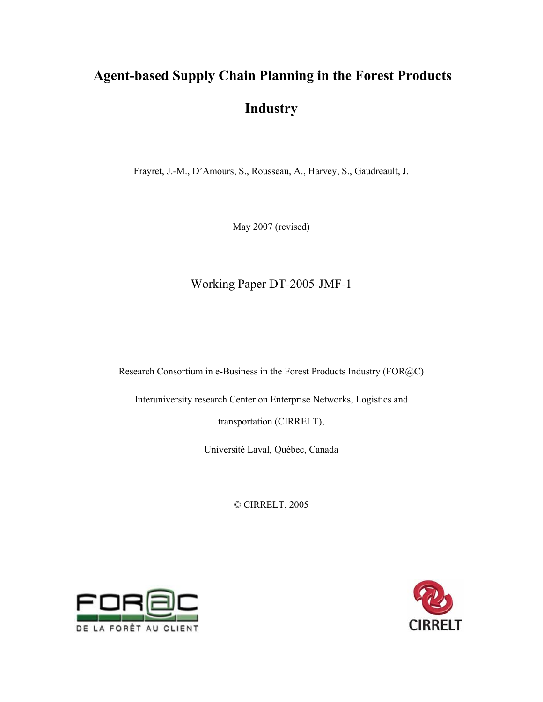# **Agent-based Supply Chain Planning in the Forest Products Industry**

Frayret, J.-M., D'Amours, S., Rousseau, A., Harvey, S., Gaudreault, J.

May 2007 (revised)

Working Paper DT-2005-JMF-1

Research Consortium in e-Business in the Forest Products Industry (FOR@C)

Interuniversity research Center on Enterprise Networks, Logistics and

transportation (CIRRELT),

Université Laval, Québec, Canada

© CIRRELT, 2005



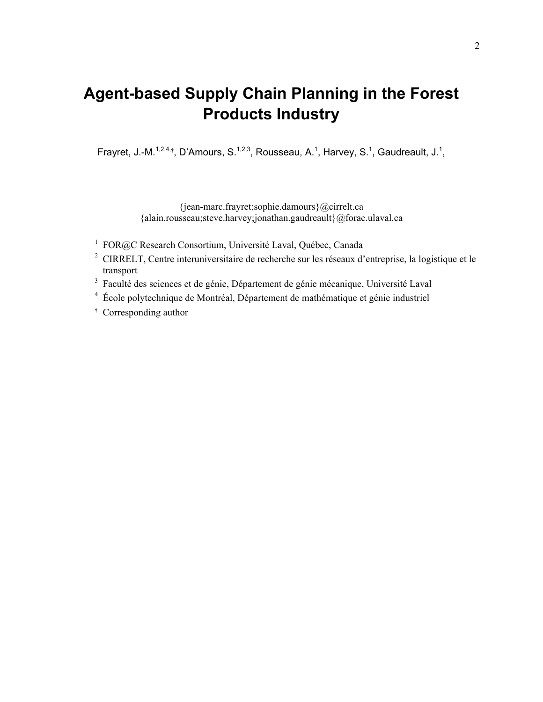## **Agent-based Supply Chain Planning in the Forest Products Industry**

Frayret, J.-M.<sup>1,2,4,</sup>†, D'Amours, S.<sup>1,2,3</sup>, Rousseau, A.<sup>1</sup>, Harvey, S.<sup>1</sup>, Gaudreault, J.<sup>1</sup>,

{jean-marc.frayret;sophie.damours}@cirrelt.ca {alain.rousseau;steve.harvey;jonathan.gaudreault}@forac.ulaval.ca

- <sup>1</sup> FOR@C Research Consortium, Université Laval, Ouébec, Canada
- <sup>2</sup> CIRRELT, Centre interuniversitaire de recherche sur les réseaux d'entreprise, la logistique et le transport
- 3 Faculté des sciences et de génie, Département de génie mécanique, Université Laval
- 4 École polytechnique de Montréal, Département de mathématique et génie industriel
- † Corresponding author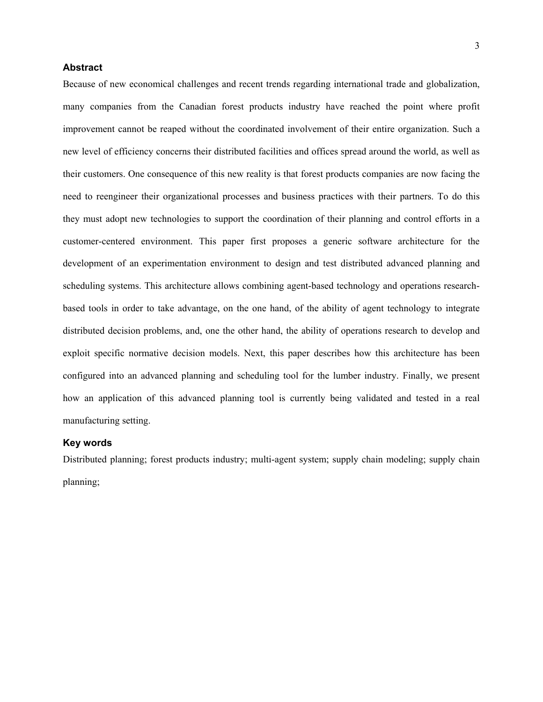### **Abstract**

Because of new economical challenges and recent trends regarding international trade and globalization, many companies from the Canadian forest products industry have reached the point where profit improvement cannot be reaped without the coordinated involvement of their entire organization. Such a new level of efficiency concerns their distributed facilities and offices spread around the world, as well as their customers. One consequence of this new reality is that forest products companies are now facing the need to reengineer their organizational processes and business practices with their partners. To do this they must adopt new technologies to support the coordination of their planning and control efforts in a customer-centered environment. This paper first proposes a generic software architecture for the development of an experimentation environment to design and test distributed advanced planning and scheduling systems. This architecture allows combining agent-based technology and operations researchbased tools in order to take advantage, on the one hand, of the ability of agent technology to integrate distributed decision problems, and, one the other hand, the ability of operations research to develop and exploit specific normative decision models. Next, this paper describes how this architecture has been configured into an advanced planning and scheduling tool for the lumber industry. Finally, we present how an application of this advanced planning tool is currently being validated and tested in a real manufacturing setting.

### **Key words**

Distributed planning; forest products industry; multi-agent system; supply chain modeling; supply chain planning;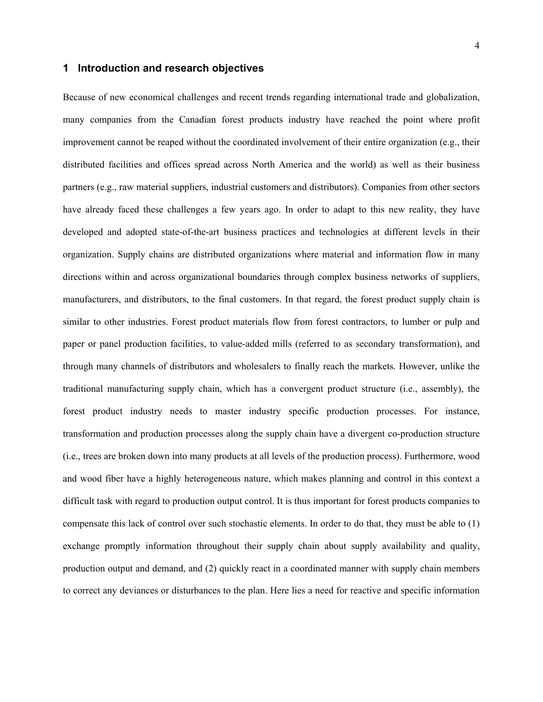### **1 Introduction and research objectives**

Because of new economical challenges and recent trends regarding international trade and globalization, many companies from the Canadian forest products industry have reached the point where profit improvement cannot be reaped without the coordinated involvement of their entire organization (e.g., their distributed facilities and offices spread across North America and the world) as well as their business partners (e.g., raw material suppliers, industrial customers and distributors). Companies from other sectors have already faced these challenges a few years ago. In order to adapt to this new reality, they have developed and adopted state-of-the-art business practices and technologies at different levels in their organization. Supply chains are distributed organizations where material and information flow in many directions within and across organizational boundaries through complex business networks of suppliers, manufacturers, and distributors, to the final customers. In that regard, the forest product supply chain is similar to other industries. Forest product materials flow from forest contractors, to lumber or pulp and paper or panel production facilities, to value-added mills (referred to as secondary transformation), and through many channels of distributors and wholesalers to finally reach the markets. However, unlike the traditional manufacturing supply chain, which has a convergent product structure (i.e., assembly), the forest product industry needs to master industry specific production processes. For instance, transformation and production processes along the supply chain have a divergent co-production structure (i.e., trees are broken down into many products at all levels of the production process). Furthermore, wood and wood fiber have a highly heterogeneous nature, which makes planning and control in this context a difficult task with regard to production output control. It is thus important for forest products companies to compensate this lack of control over such stochastic elements. In order to do that, they must be able to (1) exchange promptly information throughout their supply chain about supply availability and quality, production output and demand, and (2) quickly react in a coordinated manner with supply chain members to correct any deviances or disturbances to the plan. Here lies a need for reactive and specific information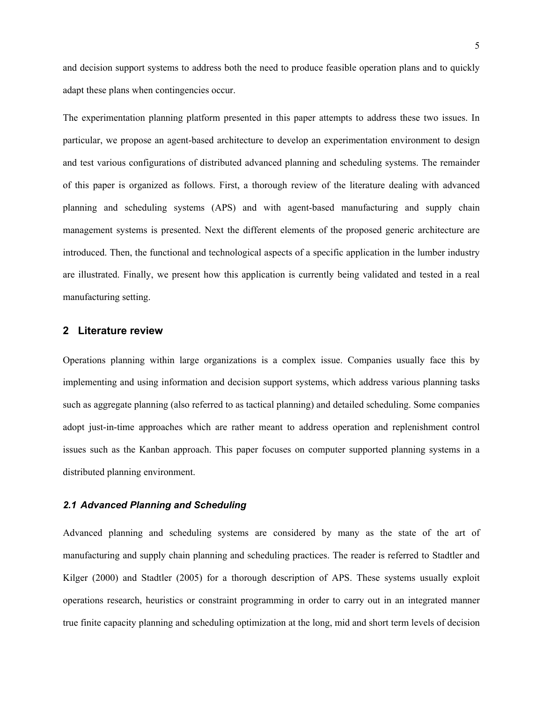and decision support systems to address both the need to produce feasible operation plans and to quickly adapt these plans when contingencies occur.

The experimentation planning platform presented in this paper attempts to address these two issues. In particular, we propose an agent-based architecture to develop an experimentation environment to design and test various configurations of distributed advanced planning and scheduling systems. The remainder of this paper is organized as follows. First, a thorough review of the literature dealing with advanced planning and scheduling systems (APS) and with agent-based manufacturing and supply chain management systems is presented. Next the different elements of the proposed generic architecture are introduced. Then, the functional and technological aspects of a specific application in the lumber industry are illustrated. Finally, we present how this application is currently being validated and tested in a real manufacturing setting.

### **2 Literature review**

Operations planning within large organizations is a complex issue. Companies usually face this by implementing and using information and decision support systems, which address various planning tasks such as aggregate planning (also referred to as tactical planning) and detailed scheduling. Some companies adopt just-in-time approaches which are rather meant to address operation and replenishment control issues such as the Kanban approach. This paper focuses on computer supported planning systems in a distributed planning environment.

### *2.1 Advanced Planning and Scheduling*

Advanced planning and scheduling systems are considered by many as the state of the art of manufacturing and supply chain planning and scheduling practices. The reader is referred to Stadtler and Kilger (2000) and Stadtler (2005) for a thorough description of APS. These systems usually exploit operations research, heuristics or constraint programming in order to carry out in an integrated manner true finite capacity planning and scheduling optimization at the long, mid and short term levels of decision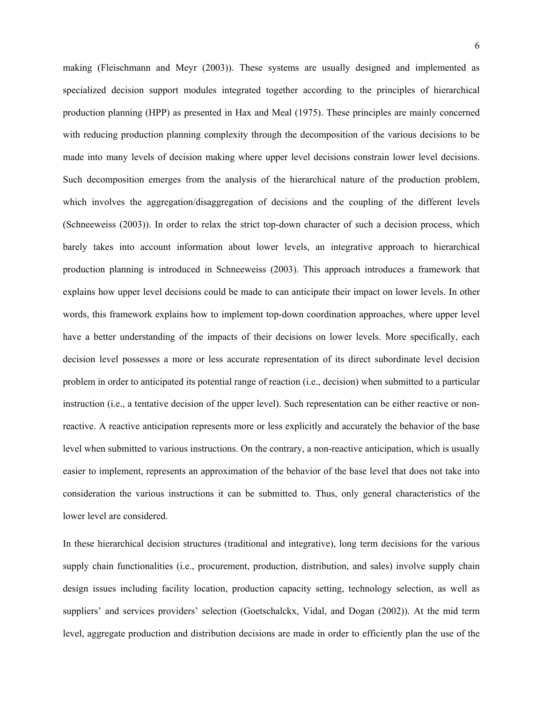making (Fleischmann and Meyr (2003)). These systems are usually designed and implemented as specialized decision support modules integrated together according to the principles of hierarchical production planning (HPP) as presented in Hax and Meal (1975). These principles are mainly concerned with reducing production planning complexity through the decomposition of the various decisions to be made into many levels of decision making where upper level decisions constrain lower level decisions. Such decomposition emerges from the analysis of the hierarchical nature of the production problem, which involves the aggregation/disaggregation of decisions and the coupling of the different levels (Schneeweiss (2003)). In order to relax the strict top-down character of such a decision process, which barely takes into account information about lower levels, an integrative approach to hierarchical production planning is introduced in Schneeweiss (2003). This approach introduces a framework that explains how upper level decisions could be made to can anticipate their impact on lower levels. In other words, this framework explains how to implement top-down coordination approaches, where upper level have a better understanding of the impacts of their decisions on lower levels. More specifically, each decision level possesses a more or less accurate representation of its direct subordinate level decision problem in order to anticipated its potential range of reaction (i.e., decision) when submitted to a particular instruction (i.e., a tentative decision of the upper level). Such representation can be either reactive or nonreactive. A reactive anticipation represents more or less explicitly and accurately the behavior of the base level when submitted to various instructions. On the contrary, a non-reactive anticipation, which is usually easier to implement, represents an approximation of the behavior of the base level that does not take into consideration the various instructions it can be submitted to. Thus, only general characteristics of the lower level are considered.

In these hierarchical decision structures (traditional and integrative), long term decisions for the various supply chain functionalities (i.e., procurement, production, distribution, and sales) involve supply chain design issues including facility location, production capacity setting, technology selection, as well as suppliers' and services providers' selection (Goetschalckx, Vidal, and Dogan (2002)). At the mid term level, aggregate production and distribution decisions are made in order to efficiently plan the use of the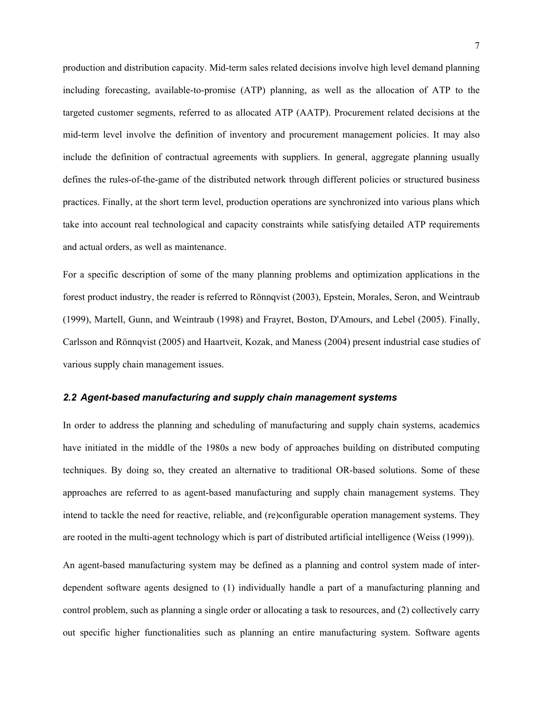production and distribution capacity. Mid-term sales related decisions involve high level demand planning including forecasting, available-to-promise (ATP) planning, as well as the allocation of ATP to the targeted customer segments, referred to as allocated ATP (AATP). Procurement related decisions at the mid-term level involve the definition of inventory and procurement management policies. It may also include the definition of contractual agreements with suppliers. In general, aggregate planning usually defines the rules-of-the-game of the distributed network through different policies or structured business practices. Finally, at the short term level, production operations are synchronized into various plans which take into account real technological and capacity constraints while satisfying detailed ATP requirements and actual orders, as well as maintenance.

For a specific description of some of the many planning problems and optimization applications in the forest product industry, the reader is referred to Rönnqvist (2003), Epstein, Morales, Seron, and Weintraub (1999), Martell, Gunn, and Weintraub (1998) and Frayret, Boston, D'Amours, and Lebel (2005). Finally, Carlsson and Rönnqvist (2005) and Haartveit, Kozak, and Maness (2004) present industrial case studies of various supply chain management issues.

### *2.2 Agent-based manufacturing and supply chain management systems*

In order to address the planning and scheduling of manufacturing and supply chain systems, academics have initiated in the middle of the 1980s a new body of approaches building on distributed computing techniques. By doing so, they created an alternative to traditional OR-based solutions. Some of these approaches are referred to as agent-based manufacturing and supply chain management systems. They intend to tackle the need for reactive, reliable, and (re)configurable operation management systems. They are rooted in the multi-agent technology which is part of distributed artificial intelligence (Weiss (1999)).

An agent-based manufacturing system may be defined as a planning and control system made of interdependent software agents designed to (1) individually handle a part of a manufacturing planning and control problem, such as planning a single order or allocating a task to resources, and (2) collectively carry out specific higher functionalities such as planning an entire manufacturing system. Software agents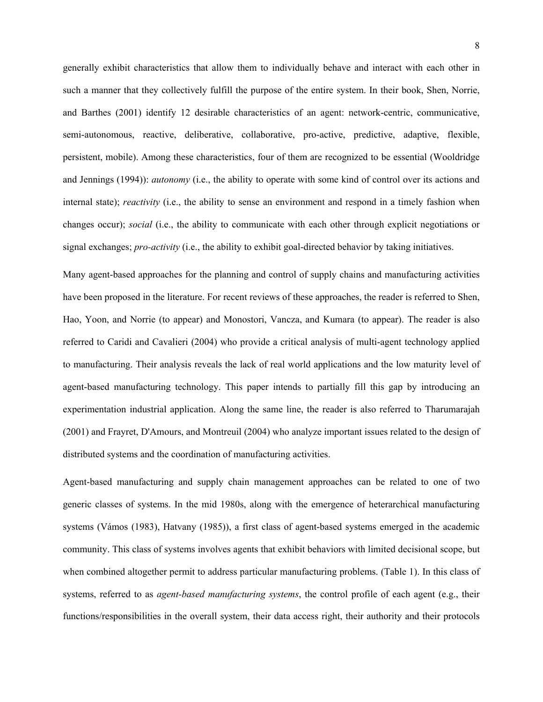generally exhibit characteristics that allow them to individually behave and interact with each other in such a manner that they collectively fulfill the purpose of the entire system. In their book, Shen, Norrie, and Barthes (2001) identify 12 desirable characteristics of an agent: network-centric, communicative, semi-autonomous, reactive, deliberative, collaborative, pro-active, predictive, adaptive, flexible, persistent, mobile). Among these characteristics, four of them are recognized to be essential (Wooldridge and Jennings (1994)): *autonomy* (i.e., the ability to operate with some kind of control over its actions and internal state); *reactivity* (i.e., the ability to sense an environment and respond in a timely fashion when changes occur); *social* (i.e., the ability to communicate with each other through explicit negotiations or signal exchanges; *pro-activity* (i.e., the ability to exhibit goal-directed behavior by taking initiatives.

Many agent-based approaches for the planning and control of supply chains and manufacturing activities have been proposed in the literature. For recent reviews of these approaches, the reader is referred to Shen, Hao, Yoon, and Norrie (to appear) and Monostori, Vancza, and Kumara (to appear). The reader is also referred to Caridi and Cavalieri (2004) who provide a critical analysis of multi-agent technology applied to manufacturing. Their analysis reveals the lack of real world applications and the low maturity level of agent-based manufacturing technology. This paper intends to partially fill this gap by introducing an experimentation industrial application. Along the same line, the reader is also referred to Tharumarajah (2001) and Frayret, D'Amours, and Montreuil (2004) who analyze important issues related to the design of distributed systems and the coordination of manufacturing activities.

Agent-based manufacturing and supply chain management approaches can be related to one of two generic classes of systems. In the mid 1980s, along with the emergence of heterarchical manufacturing systems (Vámos (1983), Hatvany (1985)), a first class of agent-based systems emerged in the academic community. This class of systems involves agents that exhibit behaviors with limited decisional scope, but when combined altogether permit to address particular manufacturing problems. (Table 1). In this class of systems, referred to as *agent-based manufacturing systems*, the control profile of each agent (e.g., their functions/responsibilities in the overall system, their data access right, their authority and their protocols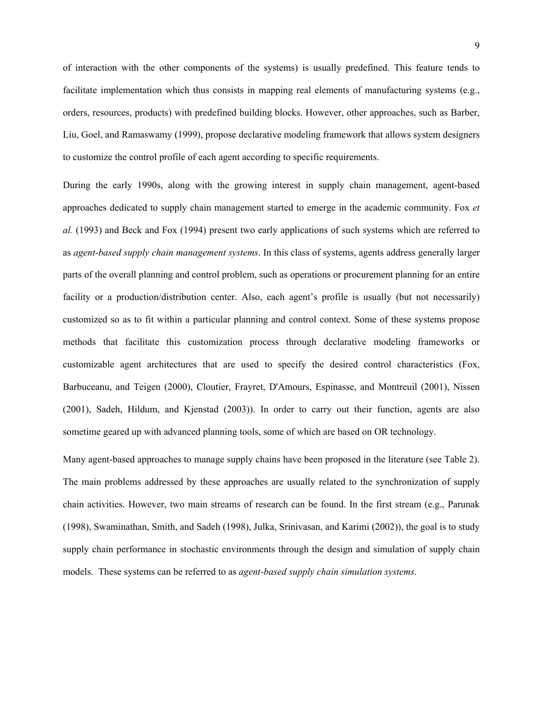of interaction with the other components of the systems) is usually predefined. This feature tends to facilitate implementation which thus consists in mapping real elements of manufacturing systems (e.g., orders, resources, products) with predefined building blocks. However, other approaches, such as Barber, Liu, Goel, and Ramaswamy (1999), propose declarative modeling framework that allows system designers to customize the control profile of each agent according to specific requirements.

During the early 1990s, along with the growing interest in supply chain management, agent-based approaches dedicated to supply chain management started to emerge in the academic community. Fox *et al.* (1993) and Beck and Fox (1994) present two early applications of such systems which are referred to as *agent-based supply chain management systems*. In this class of systems, agents address generally larger parts of the overall planning and control problem, such as operations or procurement planning for an entire facility or a production/distribution center. Also, each agent's profile is usually (but not necessarily) customized so as to fit within a particular planning and control context. Some of these systems propose methods that facilitate this customization process through declarative modeling frameworks or customizable agent architectures that are used to specify the desired control characteristics (Fox, Barbuceanu, and Teigen (2000), Cloutier, Frayret, D'Amours, Espinasse, and Montreuil (2001), Nissen (2001), Sadeh, Hildum, and Kjenstad (2003)). In order to carry out their function, agents are also sometime geared up with advanced planning tools, some of which are based on OR technology.

Many agent-based approaches to manage supply chains have been proposed in the literature (see Table 2). The main problems addressed by these approaches are usually related to the synchronization of supply chain activities. However, two main streams of research can be found. In the first stream (e.g., Parunak (1998), Swaminathan, Smith, and Sadeh (1998), Julka, Srinivasan, and Karimi (2002)), the goal is to study supply chain performance in stochastic environments through the design and simulation of supply chain models. These systems can be referred to as *agent-based supply chain simulation systems*.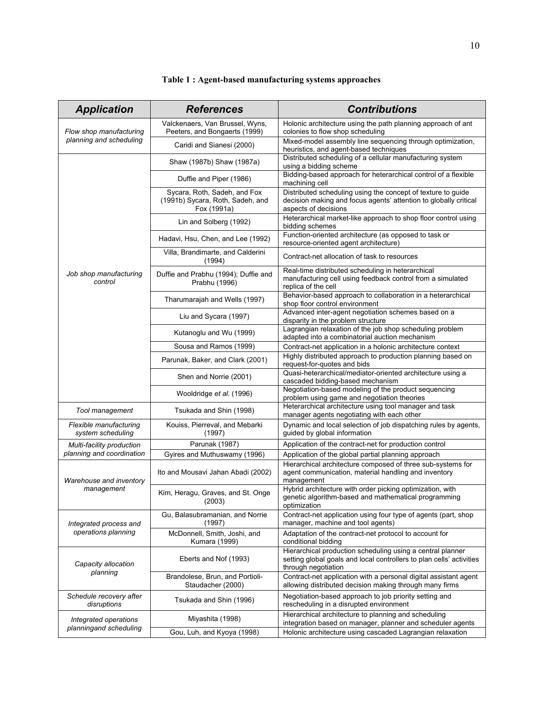| <b>Application</b>                                 | <b>References</b>                                                               | <b>Contributions</b>                                                                                                                                      |  |
|----------------------------------------------------|---------------------------------------------------------------------------------|-----------------------------------------------------------------------------------------------------------------------------------------------------------|--|
| Flow shop manufacturing<br>planning and scheduling | Valckenaers, Van Brussel, Wyns,<br>Peeters, and Bongaerts (1999)                | Holonic architecture using the path planning approach of ant<br>colonies to flow shop scheduling                                                          |  |
|                                                    | Caridi and Sianesi (2000)                                                       | Mixed-model assembly line sequencing through optimization,<br>heuristics, and agent-based techniques                                                      |  |
|                                                    | Shaw (1987b) Shaw (1987a)                                                       | Distributed scheduling of a cellular manufacturing system<br>using a bidding scheme                                                                       |  |
|                                                    | Duffie and Piper (1986)                                                         | Bidding-based approach for heterarchical control of a flexible<br>machining cell                                                                          |  |
|                                                    | Sycara, Roth, Sadeh, and Fox<br>(1991b) Sycara, Roth, Sadeh, and<br>Fox (1991a) | Distributed scheduling using the concept of texture to guide<br>decision making and focus agents' attention to globally critical<br>aspects of decisions  |  |
|                                                    | Lin and Solberg (1992)                                                          | Heterarchical market-like approach to shop floor control using<br>bidding schemes                                                                         |  |
|                                                    | Hadavi, Hsu, Chen, and Lee (1992)                                               | Function-oriented architecture (as opposed to task or<br>resource-oriented agent architecture)                                                            |  |
|                                                    | Villa, Brandimarte, and Calderini<br>(1994)                                     | Contract-net allocation of task to resources                                                                                                              |  |
| Job shop manufacturing<br>control                  | Duffie and Prabhu (1994); Duffie and<br>Prabhu (1996)                           | Real-time distributed scheduling in heterarchical<br>manufacturing cell using feedback control from a simulated<br>replica of the cell                    |  |
|                                                    | Tharumarajah and Wells (1997)                                                   | Behavior-based approach to collaboration in a heterarchical<br>shop floor control environment                                                             |  |
|                                                    | Liu and Sycara (1997)                                                           | Advanced inter-agent negotiation schemes based on a<br>disparity in the problem structure                                                                 |  |
|                                                    | Kutanoglu and Wu (1999)                                                         | Lagrangian relaxation of the job shop scheduling problem<br>adapted into a combinatorial auction mechanism                                                |  |
|                                                    | Sousa and Ramos (1999)                                                          | Contract-net application in a holonic architecture context                                                                                                |  |
|                                                    | Parunak, Baker, and Clark (2001)                                                | Highly distributed approach to production planning based on<br>request-for-quotes and bids                                                                |  |
|                                                    | Shen and Norrie (2001)                                                          | Quasi-heterarchical/mediator-oriented architecture using a<br>cascaded bidding-based mechanism                                                            |  |
|                                                    | Wooldridge et al. (1996)                                                        | Negotiation-based modeling of the product sequencing<br>problem using game and negotiation theories                                                       |  |
| Tool management                                    | Tsukada and Shin (1998)                                                         | Heterarchical architecture using tool manager and task<br>manager agents negotiating with each other                                                      |  |
| Flexible manufacturing<br>system scheduling        | Kouiss, Pierreval, and Mebarki<br>(1997)                                        | Dynamic and local selection of job dispatching rules by agents,<br>guided by global information                                                           |  |
| Multi-facility production                          | Parunak (1987)                                                                  | Application of the contract-net for production control                                                                                                    |  |
| planning and coordination                          | Gyires and Muthuswamy (1996)                                                    | Application of the global partial planning approach                                                                                                       |  |
| Warehouse and inventory                            | Ito and Mousavi Jahan Abadi (2002)                                              | Hierarchical architecture composed of three sub-systems for<br>agent communication, material handling and inventory<br>management                         |  |
| management                                         | Kim, Heragu, Graves, and St. Onge<br>(2003)                                     | Hybrid architecture with order picking optimization, with<br>genetic algorithm-based and mathematical programming<br>optimization                         |  |
| Integrated process and<br>operations planning      | Gu, Balasubramanian, and Norrie<br>(1997)                                       | Contract-net application using four type of agents (part, shop<br>manager, machine and tool agents)                                                       |  |
|                                                    | McDonnell, Smith, Joshi, and<br>Kumara (1999)                                   | Adaptation of the contract-net protocol to account for<br>conditional bidding                                                                             |  |
| Capacity allocation<br>planning                    | Eberts and Nof (1993)                                                           | Hierarchical production scheduling using a central planner<br>setting global goals and local controllers to plan cells' activities<br>through negotiation |  |
|                                                    | Brandolese, Brun, and Portioli-<br>Staudacher (2000)                            | Contract-net application with a personal digital assistant agent<br>allowing distributed decision making through many firms                               |  |
| Schedule recovery after<br>disruptions             | Tsukada and Shin (1996)                                                         | Negotiation-based approach to job priority setting and<br>rescheduling in a disrupted environment                                                         |  |
| Integrated operations                              | Miyashita (1998)                                                                | Hierarchical architecture to planning and scheduling<br>integration based on manager, planner and scheduler agents                                        |  |
| planningand scheduling                             | Gou, Luh, and Kyoya (1998)                                                      | Holonic architecture using cascaded Lagrangian relaxation                                                                                                 |  |

### **Table 1 : Agent-based manufacturing systems approaches**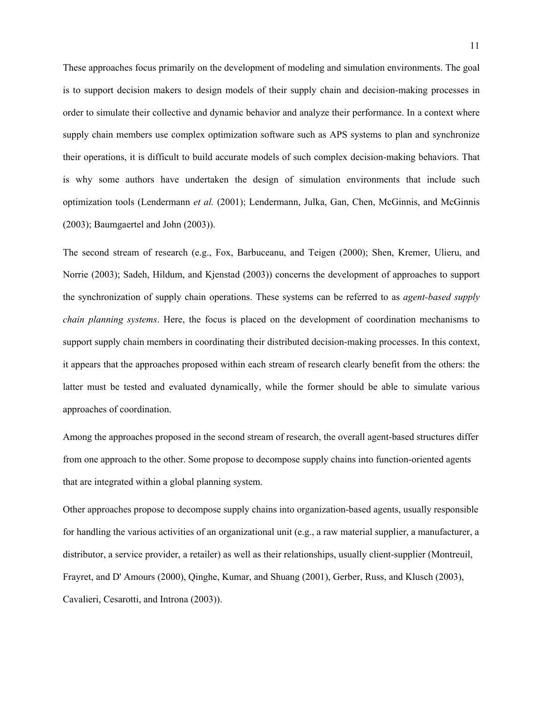These approaches focus primarily on the development of modeling and simulation environments. The goal is to support decision makers to design models of their supply chain and decision-making processes in order to simulate their collective and dynamic behavior and analyze their performance. In a context where supply chain members use complex optimization software such as APS systems to plan and synchronize their operations, it is difficult to build accurate models of such complex decision-making behaviors. That is why some authors have undertaken the design of simulation environments that include such optimization tools (Lendermann *et al.* (2001); Lendermann, Julka, Gan, Chen, McGinnis, and McGinnis (2003); Baumgaertel and John (2003)).

The second stream of research (e.g., Fox, Barbuceanu, and Teigen (2000); Shen, Kremer, Ulieru, and Norrie (2003); Sadeh, Hildum, and Kjenstad (2003)) concerns the development of approaches to support the synchronization of supply chain operations. These systems can be referred to as *agent-based supply chain planning systems*. Here, the focus is placed on the development of coordination mechanisms to support supply chain members in coordinating their distributed decision-making processes. In this context, it appears that the approaches proposed within each stream of research clearly benefit from the others: the latter must be tested and evaluated dynamically, while the former should be able to simulate various approaches of coordination.

Among the approaches proposed in the second stream of research, the overall agent-based structures differ from one approach to the other. Some propose to decompose supply chains into function-oriented agents that are integrated within a global planning system.

Other approaches propose to decompose supply chains into organization-based agents, usually responsible for handling the various activities of an organizational unit (e.g., a raw material supplier, a manufacturer, a distributor, a service provider, a retailer) as well as their relationships, usually client-supplier (Montreuil, Frayret, and D' Amours (2000), Qinghe, Kumar, and Shuang (2001), Gerber, Russ, and Klusch (2003), Cavalieri, Cesarotti, and Introna (2003)).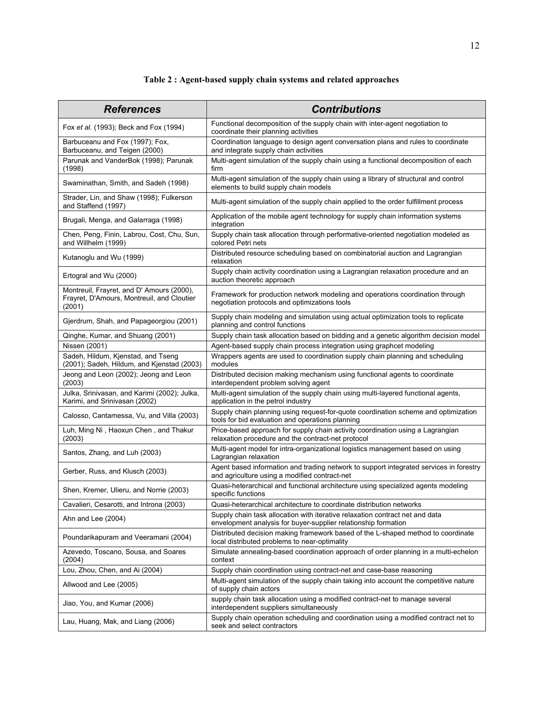### **Table 2 : Agent-based supply chain systems and related approaches**

| <b>References</b>                                                                                 | <b>Contributions</b>                                                                                                                           |  |  |  |
|---------------------------------------------------------------------------------------------------|------------------------------------------------------------------------------------------------------------------------------------------------|--|--|--|
| Fox et al. (1993); Beck and Fox (1994)                                                            | Functional decomposition of the supply chain with inter-agent negotiation to<br>coordinate their planning activities                           |  |  |  |
| Barbuceanu and Fox (1997); Fox,<br>Barbuceanu, and Teigen (2000)                                  | Coordination language to design agent conversation plans and rules to coordinate<br>and integrate supply chain activities                      |  |  |  |
| Parunak and VanderBok (1998); Parunak<br>(1998)                                                   | Multi-agent simulation of the supply chain using a functional decomposition of each<br>firm                                                    |  |  |  |
| Swaminathan, Smith, and Sadeh (1998)                                                              | Multi-agent simulation of the supply chain using a library of structural and control<br>elements to build supply chain models                  |  |  |  |
| Strader, Lin, and Shaw (1998); Fulkerson<br>and Staffend (1997)                                   | Multi-agent simulation of the supply chain applied to the order fulfillment process                                                            |  |  |  |
| Brugali, Menga, and Galarraga (1998)                                                              | Application of the mobile agent technology for supply chain information systems<br>integration                                                 |  |  |  |
| Chen, Peng, Finin, Labrou, Cost, Chu, Sun,<br>and Willhelm (1999)                                 | Supply chain task allocation through performative-oriented negotiation modeled as<br>colored Petri nets                                        |  |  |  |
| Kutanoglu and Wu (1999)                                                                           | Distributed resource scheduling based on combinatorial auction and Lagrangian<br>relaxation                                                    |  |  |  |
| Ertogral and Wu (2000)                                                                            | Supply chain activity coordination using a Lagrangian relaxation procedure and an<br>auction theoretic approach                                |  |  |  |
| Montreuil, Frayret, and D' Amours (2000),<br>Frayret, D'Amours, Montreuil, and Cloutier<br>(2001) | Framework for production network modeling and operations coordination through<br>negotiation protocols and optimizations tools                 |  |  |  |
| Gjerdrum, Shah, and Papageorgiou (2001)                                                           | Supply chain modeling and simulation using actual optimization tools to replicate<br>planning and control functions                            |  |  |  |
| Qinghe, Kumar, and Shuang (2001)                                                                  | Supply chain task allocation based on bidding and a genetic algorithm decision model                                                           |  |  |  |
| Nissen (2001)                                                                                     | Agent-based supply chain process integration using graphcet modeling                                                                           |  |  |  |
| Sadeh, Hildum, Kjenstad, and Tseng<br>(2001); Sadeh, Hildum, and Kjenstad (2003)                  | Wrappers agents are used to coordination supply chain planning and scheduling<br>modules                                                       |  |  |  |
| Jeong and Leon (2002); Jeong and Leon<br>(2003)                                                   | Distributed decision making mechanism using functional agents to coordinate<br>interdependent problem solving agent                            |  |  |  |
| Julka, Srinivasan, and Karimi (2002); Julka,<br>Karimi, and Srinivasan (2002)                     | Multi-agent simulation of the supply chain using multi-layered functional agents,<br>application in the petrol industry                        |  |  |  |
| Calosso, Cantamessa, Vu, and Villa (2003)                                                         | Supply chain planning using request-for-quote coordination scheme and optimization<br>tools for bid evaluation and operations planning         |  |  |  |
| Luh, Ming Ni, Haoxun Chen, and Thakur<br>(2003)                                                   | Price-based approach for supply chain activity coordination using a Lagrangian<br>relaxation procedure and the contract-net protocol           |  |  |  |
| Santos, Zhang, and Luh (2003)                                                                     | Multi-agent model for intra-organizational logistics management based on using<br>Lagrangian relaxation                                        |  |  |  |
| Gerber, Russ, and Klusch (2003)                                                                   | Agent based information and trading network to support integrated services in forestry<br>and agriculture using a modified contract-net        |  |  |  |
| Shen, Kremer, Ulieru, and Norrie (2003)                                                           | Quasi-heterarchical and functional architecture using specialized agents modeling<br>specific functions                                        |  |  |  |
| Cavalieri, Cesarotti, and Introna (2003)                                                          | Quasi-heterarchical architecture to coordinate distribution networks                                                                           |  |  |  |
| Ahn and Lee (2004)                                                                                | Supply chain task allocation with iterative relaxation contract net and data<br>envelopment analysis for buyer-supplier relationship formation |  |  |  |
| Poundarikapuram and Veeramani (2004)                                                              | Distributed decision making framework based of the L-shaped method to coordinate<br>local distributed problems to near-optimality              |  |  |  |
| Azevedo, Toscano, Sousa, and Soares<br>(2004)                                                     | Simulate annealing-based coordination approach of order planning in a multi-echelon<br>context                                                 |  |  |  |
| Lou, Zhou, Chen, and Ai (2004)                                                                    | Supply chain coordination using contract-net and case-base reasoning                                                                           |  |  |  |
| Allwood and Lee (2005)                                                                            | Multi-agent simulation of the supply chain taking into account the competitive nature<br>of supply chain actors                                |  |  |  |
| Jiao, You, and Kumar (2006)                                                                       | supply chain task allocation using a modified contract-net to manage several<br>interdependent suppliers simultaneously                        |  |  |  |
| Lau, Huang, Mak, and Liang (2006)                                                                 | Supply chain operation scheduling and coordination using a modified contract net to<br>seek and select contractors                             |  |  |  |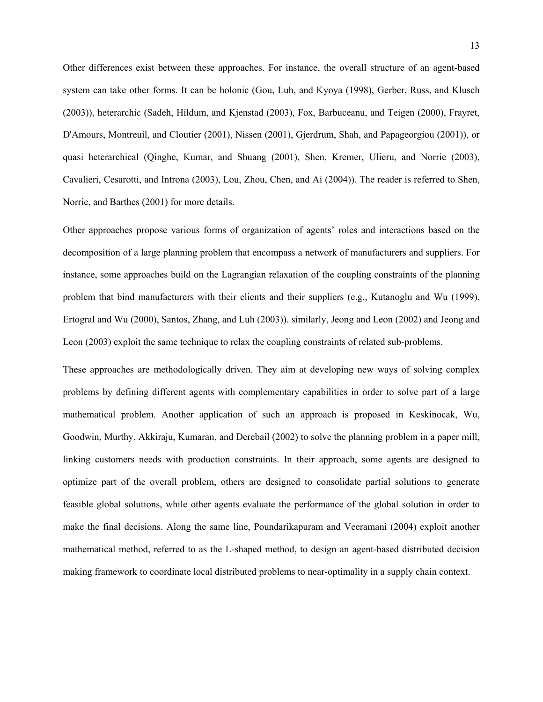Other differences exist between these approaches. For instance, the overall structure of an agent-based system can take other forms. It can be holonic (Gou, Luh, and Kyoya (1998), Gerber, Russ, and Klusch (2003)), heterarchic (Sadeh, Hildum, and Kjenstad (2003), Fox, Barbuceanu, and Teigen (2000), Frayret, D'Amours, Montreuil, and Cloutier (2001), Nissen (2001), Gjerdrum, Shah, and Papageorgiou (2001)), or quasi heterarchical (Qinghe, Kumar, and Shuang (2001), Shen, Kremer, Ulieru, and Norrie (2003), Cavalieri, Cesarotti, and Introna (2003), Lou, Zhou, Chen, and Ai (2004)). The reader is referred to Shen, Norrie, and Barthes (2001) for more details.

Other approaches propose various forms of organization of agents' roles and interactions based on the decomposition of a large planning problem that encompass a network of manufacturers and suppliers. For instance, some approaches build on the Lagrangian relaxation of the coupling constraints of the planning problem that bind manufacturers with their clients and their suppliers (e.g., Kutanoglu and Wu (1999), Ertogral and Wu (2000), Santos, Zhang, and Luh (2003)). similarly, Jeong and Leon (2002) and Jeong and Leon (2003) exploit the same technique to relax the coupling constraints of related sub-problems.

These approaches are methodologically driven. They aim at developing new ways of solving complex problems by defining different agents with complementary capabilities in order to solve part of a large mathematical problem. Another application of such an approach is proposed in Keskinocak, Wu, Goodwin, Murthy, Akkiraju, Kumaran, and Derebail (2002) to solve the planning problem in a paper mill, linking customers needs with production constraints. In their approach, some agents are designed to optimize part of the overall problem, others are designed to consolidate partial solutions to generate feasible global solutions, while other agents evaluate the performance of the global solution in order to make the final decisions. Along the same line, Poundarikapuram and Veeramani (2004) exploit another mathematical method, referred to as the L-shaped method, to design an agent-based distributed decision making framework to coordinate local distributed problems to near-optimality in a supply chain context.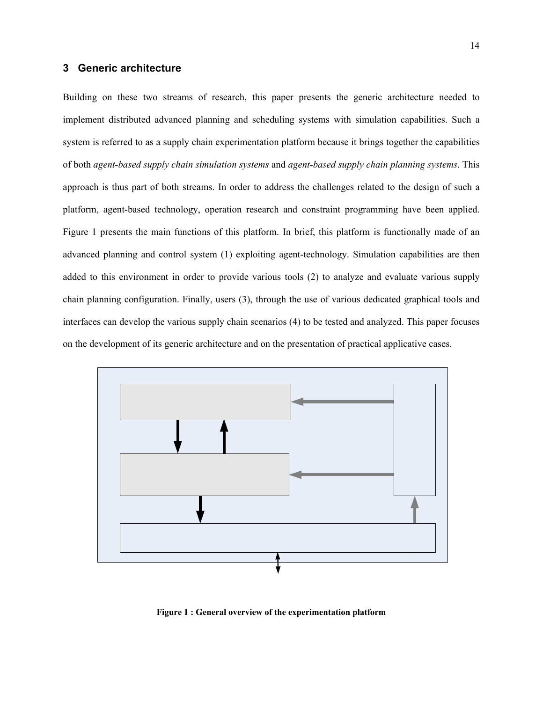### **3 Generic architecture**

Building on these two streams of research, this paper presents the generic architecture needed to implement distributed advanced planning and scheduling systems with simulation capabilities. Such a system is referred to as a supply chain experimentation platform because it brings together the capabilities of both *agent-based supply chain simulation systems* and *agent-based supply chain planning systems*. This approach is thus part of both streams. In order to address the challenges related to the design of such a platform, agent-based technology, operation research and constraint programming have been applied. Figure 1 presents the main functions of this platform. In brief, this platform is functionally made of an advanced planning and control system (1) exploiting agent-technology. Simulation capabilities are then added to this environment in order to provide various tools (2) to analyze and evaluate various supply chain planning configuration. Finally, users (3), through the use of various dedicated graphical tools and interfaces can develop the various supply chain scenarios (4) to be tested and analyzed. This paper focuses on the development of its generic architecture and on the presentation of practical applicative cases.



**Figure 1 : General overview of the experimentation platform**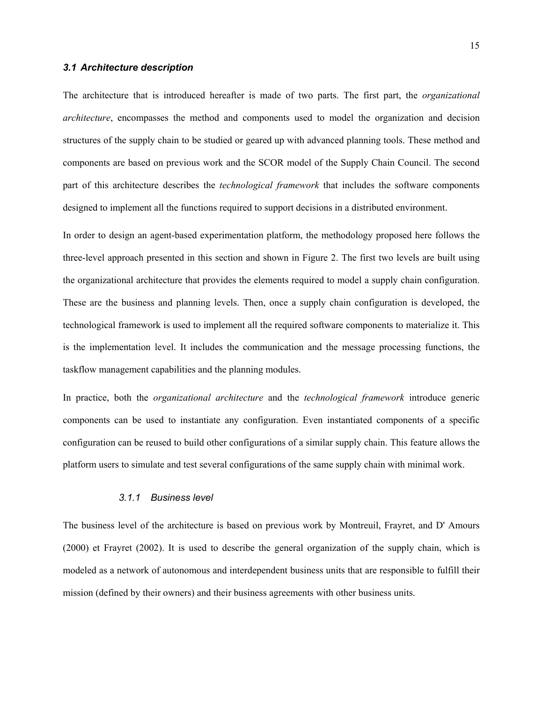### *3.1 Architecture description*

The architecture that is introduced hereafter is made of two parts. The first part, the *organizational architecture*, encompasses the method and components used to model the organization and decision structures of the supply chain to be studied or geared up with advanced planning tools. These method and components are based on previous work and the SCOR model of the Supply Chain Council. The second part of this architecture describes the *technological framework* that includes the software components designed to implement all the functions required to support decisions in a distributed environment.

In order to design an agent-based experimentation platform, the methodology proposed here follows the three-level approach presented in this section and shown in Figure 2. The first two levels are built using the organizational architecture that provides the elements required to model a supply chain configuration. These are the business and planning levels. Then, once a supply chain configuration is developed, the technological framework is used to implement all the required software components to materialize it. This is the implementation level. It includes the communication and the message processing functions, the taskflow management capabilities and the planning modules.

In practice, both the *organizational architecture* and the *technological framework* introduce generic components can be used to instantiate any configuration. Even instantiated components of a specific configuration can be reused to build other configurations of a similar supply chain. This feature allows the platform users to simulate and test several configurations of the same supply chain with minimal work.

### *3.1.1 Business level*

The business level of the architecture is based on previous work by Montreuil, Frayret, and D' Amours (2000) et Frayret (2002). It is used to describe the general organization of the supply chain, which is modeled as a network of autonomous and interdependent business units that are responsible to fulfill their mission (defined by their owners) and their business agreements with other business units.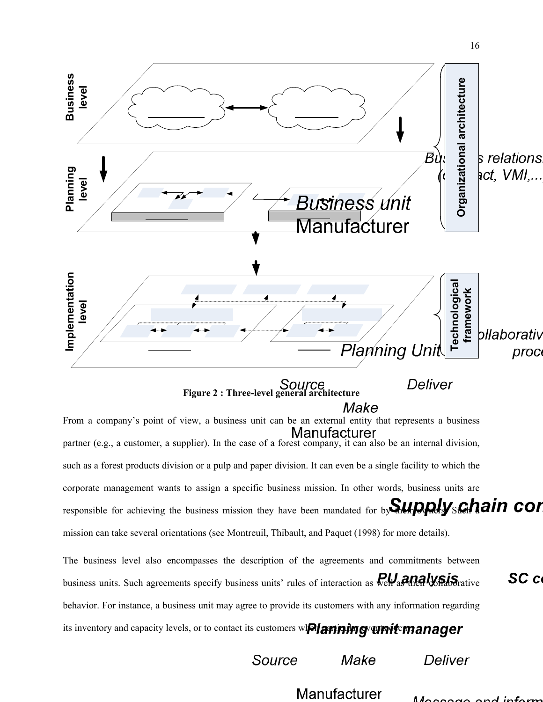

its inventory and capacity levels, or to contact its customers when an ages of particular events of  $\epsilon$  manager

Source Make Deliver

Manufacturer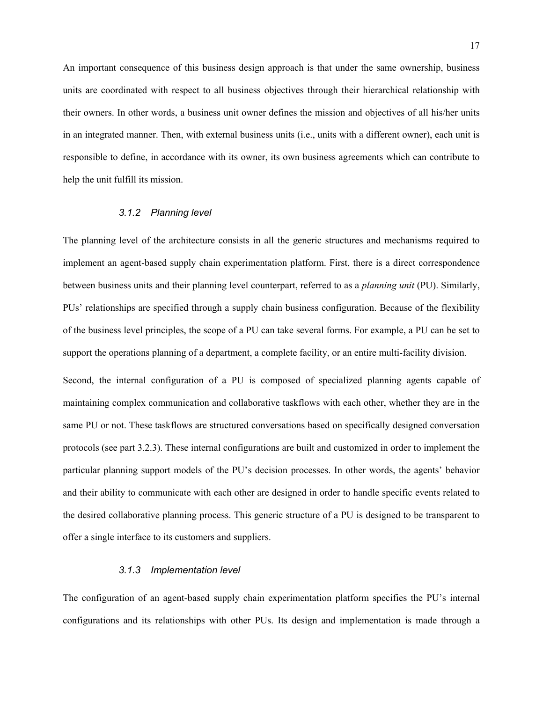An important consequence of this business design approach is that under the same ownership, business units are coordinated with respect to all business objectives through their hierarchical relationship with their owners. In other words, a business unit owner defines the mission and objectives of all his/her units in an integrated manner. Then, with external business units (i.e., units with a different owner), each unit is responsible to define, in accordance with its owner, its own business agreements which can contribute to help the unit fulfill its mission.

#### *3.1.2 Planning level*

The planning level of the architecture consists in all the generic structures and mechanisms required to implement an agent-based supply chain experimentation platform. First, there is a direct correspondence between business units and their planning level counterpart, referred to as a *planning unit* (PU). Similarly, PUs' relationships are specified through a supply chain business configuration. Because of the flexibility of the business level principles, the scope of a PU can take several forms. For example, a PU can be set to support the operations planning of a department, a complete facility, or an entire multi-facility division.

Second, the internal configuration of a PU is composed of specialized planning agents capable of maintaining complex communication and collaborative taskflows with each other, whether they are in the same PU or not. These taskflows are structured conversations based on specifically designed conversation protocols (see part 3.2.3). These internal configurations are built and customized in order to implement the particular planning support models of the PU's decision processes. In other words, the agents' behavior and their ability to communicate with each other are designed in order to handle specific events related to the desired collaborative planning process. This generic structure of a PU is designed to be transparent to offer a single interface to its customers and suppliers.

### *3.1.3 Implementation level*

The configuration of an agent-based supply chain experimentation platform specifies the PU's internal configurations and its relationships with other PUs. Its design and implementation is made through a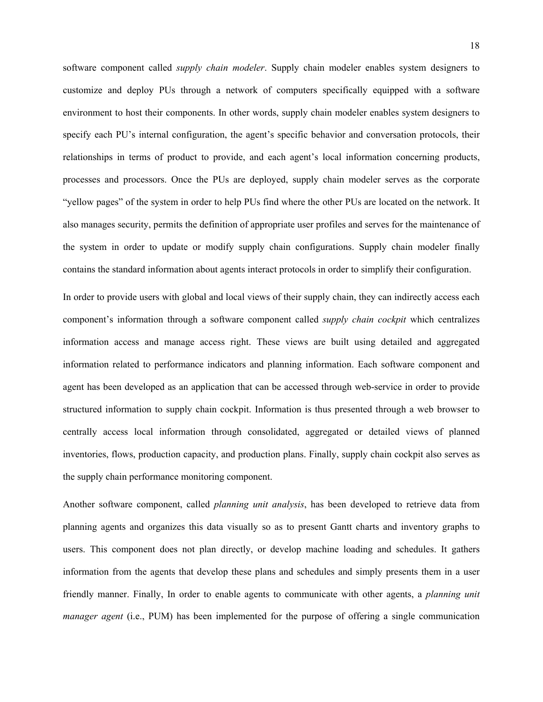software component called *supply chain modeler*. Supply chain modeler enables system designers to customize and deploy PUs through a network of computers specifically equipped with a software environment to host their components. In other words, supply chain modeler enables system designers to specify each PU's internal configuration, the agent's specific behavior and conversation protocols, their relationships in terms of product to provide, and each agent's local information concerning products, processes and processors. Once the PUs are deployed, supply chain modeler serves as the corporate "yellow pages" of the system in order to help PUs find where the other PUs are located on the network. It also manages security, permits the definition of appropriate user profiles and serves for the maintenance of the system in order to update or modify supply chain configurations. Supply chain modeler finally contains the standard information about agents interact protocols in order to simplify their configuration.

In order to provide users with global and local views of their supply chain, they can indirectly access each component's information through a software component called *supply chain cockpit* which centralizes information access and manage access right. These views are built using detailed and aggregated information related to performance indicators and planning information. Each software component and agent has been developed as an application that can be accessed through web-service in order to provide structured information to supply chain cockpit. Information is thus presented through a web browser to centrally access local information through consolidated, aggregated or detailed views of planned inventories, flows, production capacity, and production plans. Finally, supply chain cockpit also serves as the supply chain performance monitoring component.

Another software component, called *planning unit analysis*, has been developed to retrieve data from planning agents and organizes this data visually so as to present Gantt charts and inventory graphs to users. This component does not plan directly, or develop machine loading and schedules. It gathers information from the agents that develop these plans and schedules and simply presents them in a user friendly manner. Finally, In order to enable agents to communicate with other agents, a *planning unit manager agent* (i.e., PUM) has been implemented for the purpose of offering a single communication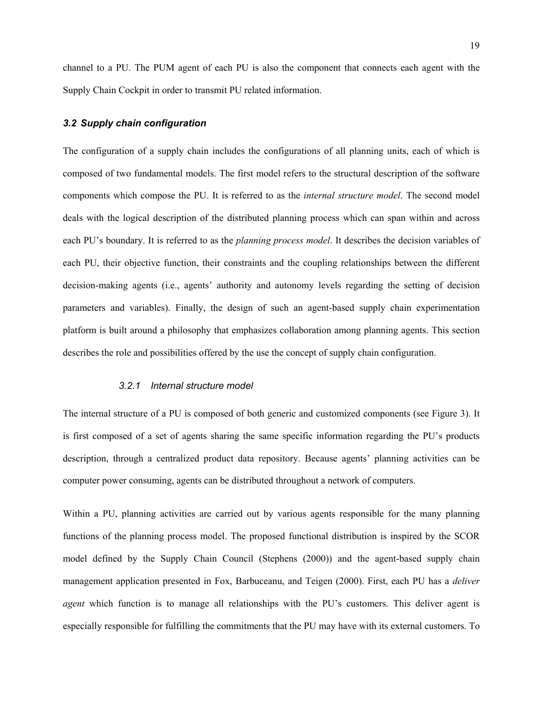channel to a PU. The PUM agent of each PU is also the component that connects each agent with the Supply Chain Cockpit in order to transmit PU related information.

### *3.2 Supply chain configuration*

The configuration of a supply chain includes the configurations of all planning units, each of which is composed of two fundamental models. The first model refers to the structural description of the software components which compose the PU. It is referred to as the *internal structure model*. The second model deals with the logical description of the distributed planning process which can span within and across each PU's boundary. It is referred to as the *planning process model*. It describes the decision variables of each PU, their objective function, their constraints and the coupling relationships between the different decision-making agents (i.e., agents' authority and autonomy levels regarding the setting of decision parameters and variables). Finally, the design of such an agent-based supply chain experimentation platform is built around a philosophy that emphasizes collaboration among planning agents. This section describes the role and possibilities offered by the use the concept of supply chain configuration.

### *3.2.1 Internal structure model*

The internal structure of a PU is composed of both generic and customized components (see Figure 3). It is first composed of a set of agents sharing the same specific information regarding the PU's products description, through a centralized product data repository. Because agents' planning activities can be computer power consuming, agents can be distributed throughout a network of computers.

Within a PU, planning activities are carried out by various agents responsible for the many planning functions of the planning process model. The proposed functional distribution is inspired by the SCOR model defined by the Supply Chain Council (Stephens (2000)) and the agent-based supply chain management application presented in Fox, Barbuceanu, and Teigen (2000). First, each PU has a *deliver agent* which function is to manage all relationships with the PU's customers. This deliver agent is especially responsible for fulfilling the commitments that the PU may have with its external customers. To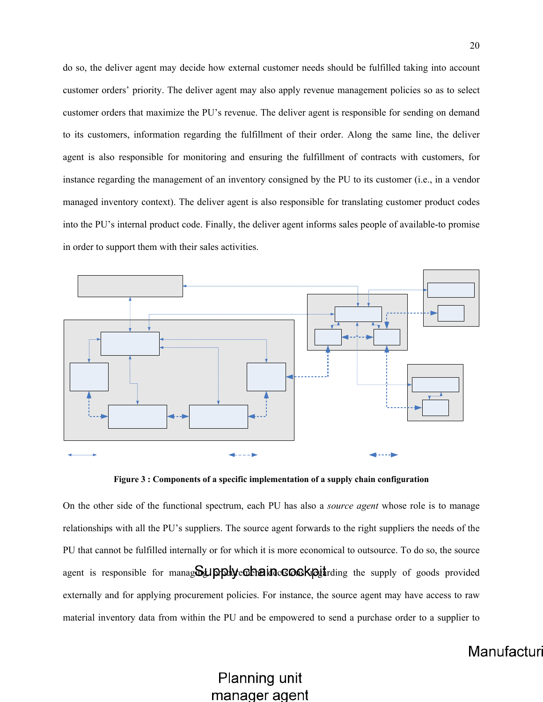do so, the deliver agent may decide how external customer needs should be fulfilled taking into account customer orders' priority. The deliver agent may also apply revenue management policies so as to select customer orders that maximize the PU's revenue. The deliver agent is responsible for sending on demand to its customers, information regarding the fulfillment of their order. Along the same line, the deliver agent is also responsible for monitoring and ensuring the fulfillment of contracts with customers, for instance regarding the management of an inventory consigned by the PU to its customer (i.e., in a vendor managed inventory context). The deliver agent is also responsible for translating customer product codes into the PU's internal product code. Finally, the deliver agent informs sales people of available-to promise in order to support them with their sales activities.



**Figure 3 : Components of a specific implementation of a supply chain configuration** 

On the other side of the functional spectrum, each PU has also a *source agent* whose role is to manage relationships with all the PU's suppliers. The source agent forwards to the right suppliers the needs of the PU that cannot be fulfilled internally or for which it is more economical to outsource. To do so, the source agent is responsible for manago upply explain consider the supply of goods provided externally and for applying procurement policies. For instance, the source agent may have access to raw material inventory data from within the PU and be empowered to send a purchase order to a supplier to

### Manufacturi

### Planning unit manager agent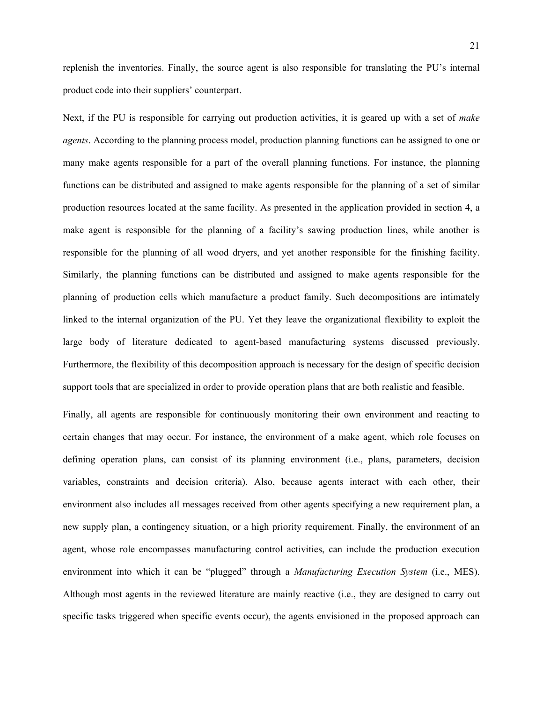replenish the inventories. Finally, the source agent is also responsible for translating the PU's internal product code into their suppliers' counterpart.

Next, if the PU is responsible for carrying out production activities, it is geared up with a set of *make agents*. According to the planning process model, production planning functions can be assigned to one or many make agents responsible for a part of the overall planning functions. For instance, the planning functions can be distributed and assigned to make agents responsible for the planning of a set of similar production resources located at the same facility. As presented in the application provided in section 4, a make agent is responsible for the planning of a facility's sawing production lines, while another is responsible for the planning of all wood dryers, and yet another responsible for the finishing facility. Similarly, the planning functions can be distributed and assigned to make agents responsible for the planning of production cells which manufacture a product family. Such decompositions are intimately linked to the internal organization of the PU. Yet they leave the organizational flexibility to exploit the large body of literature dedicated to agent-based manufacturing systems discussed previously. Furthermore, the flexibility of this decomposition approach is necessary for the design of specific decision support tools that are specialized in order to provide operation plans that are both realistic and feasible.

Finally, all agents are responsible for continuously monitoring their own environment and reacting to certain changes that may occur. For instance, the environment of a make agent, which role focuses on defining operation plans, can consist of its planning environment (i.e., plans, parameters, decision variables, constraints and decision criteria). Also, because agents interact with each other, their environment also includes all messages received from other agents specifying a new requirement plan, a new supply plan, a contingency situation, or a high priority requirement. Finally, the environment of an agent, whose role encompasses manufacturing control activities, can include the production execution environment into which it can be "plugged" through a *Manufacturing Execution System* (i.e., MES). Although most agents in the reviewed literature are mainly reactive (i.e., they are designed to carry out specific tasks triggered when specific events occur), the agents envisioned in the proposed approach can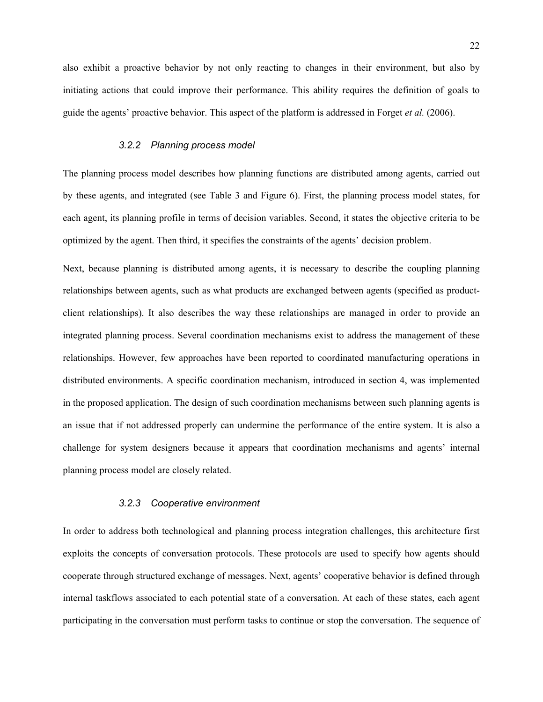also exhibit a proactive behavior by not only reacting to changes in their environment, but also by initiating actions that could improve their performance. This ability requires the definition of goals to guide the agents' proactive behavior. This aspect of the platform is addressed in Forget *et al.* (2006).

### *3.2.2 Planning process model*

The planning process model describes how planning functions are distributed among agents, carried out by these agents, and integrated (see Table 3 and Figure 6). First, the planning process model states, for each agent, its planning profile in terms of decision variables. Second, it states the objective criteria to be optimized by the agent. Then third, it specifies the constraints of the agents' decision problem.

Next, because planning is distributed among agents, it is necessary to describe the coupling planning relationships between agents, such as what products are exchanged between agents (specified as productclient relationships). It also describes the way these relationships are managed in order to provide an integrated planning process. Several coordination mechanisms exist to address the management of these relationships. However, few approaches have been reported to coordinated manufacturing operations in distributed environments. A specific coordination mechanism, introduced in section 4, was implemented in the proposed application. The design of such coordination mechanisms between such planning agents is an issue that if not addressed properly can undermine the performance of the entire system. It is also a challenge for system designers because it appears that coordination mechanisms and agents' internal planning process model are closely related.

### *3.2.3 Cooperative environment*

In order to address both technological and planning process integration challenges, this architecture first exploits the concepts of conversation protocols. These protocols are used to specify how agents should cooperate through structured exchange of messages. Next, agents' cooperative behavior is defined through internal taskflows associated to each potential state of a conversation. At each of these states, each agent participating in the conversation must perform tasks to continue or stop the conversation. The sequence of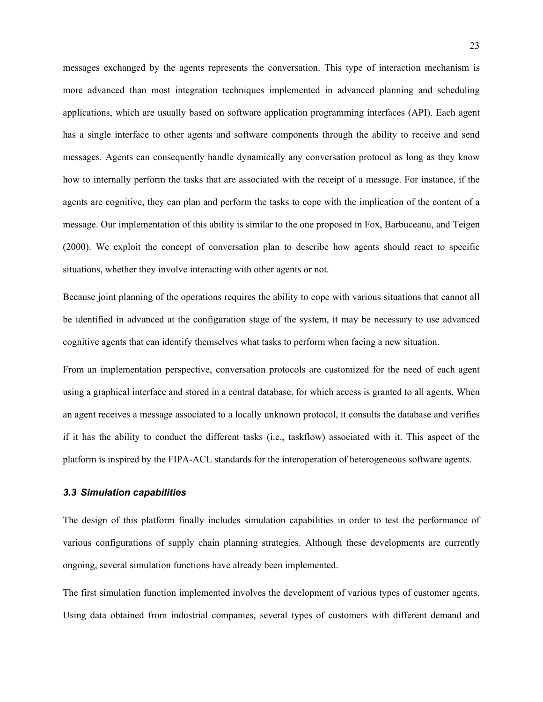messages exchanged by the agents represents the conversation. This type of interaction mechanism is more advanced than most integration techniques implemented in advanced planning and scheduling applications, which are usually based on software application programming interfaces (API). Each agent has a single interface to other agents and software components through the ability to receive and send messages. Agents can consequently handle dynamically any conversation protocol as long as they know how to internally perform the tasks that are associated with the receipt of a message. For instance, if the agents are cognitive, they can plan and perform the tasks to cope with the implication of the content of a message. Our implementation of this ability is similar to the one proposed in Fox, Barbuceanu, and Teigen (2000). We exploit the concept of conversation plan to describe how agents should react to specific situations, whether they involve interacting with other agents or not.

Because joint planning of the operations requires the ability to cope with various situations that cannot all be identified in advanced at the configuration stage of the system, it may be necessary to use advanced cognitive agents that can identify themselves what tasks to perform when facing a new situation.

From an implementation perspective, conversation protocols are customized for the need of each agent using a graphical interface and stored in a central database, for which access is granted to all agents. When an agent receives a message associated to a locally unknown protocol, it consults the database and verifies if it has the ability to conduct the different tasks (i.e., taskflow) associated with it. This aspect of the platform is inspired by the FIPA-ACL standards for the interoperation of heterogeneous software agents.

### *3.3 Simulation capabilities*

The design of this platform finally includes simulation capabilities in order to test the performance of various configurations of supply chain planning strategies. Although these developments are currently ongoing, several simulation functions have already been implemented.

The first simulation function implemented involves the development of various types of customer agents. Using data obtained from industrial companies, several types of customers with different demand and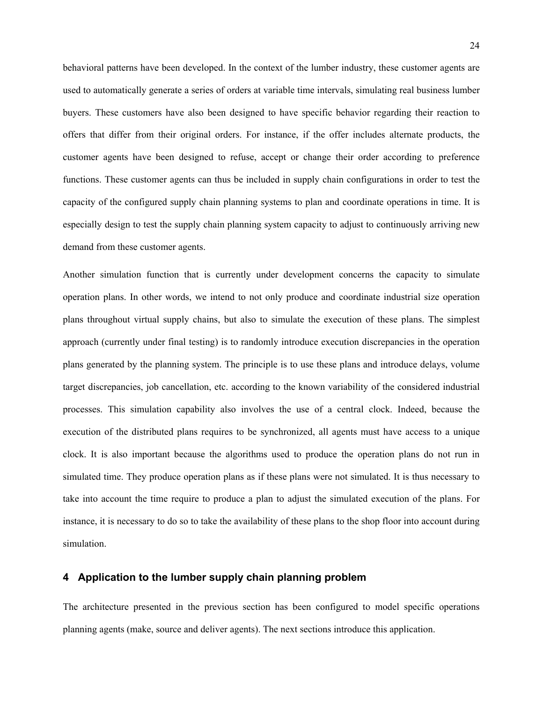behavioral patterns have been developed. In the context of the lumber industry, these customer agents are used to automatically generate a series of orders at variable time intervals, simulating real business lumber buyers. These customers have also been designed to have specific behavior regarding their reaction to offers that differ from their original orders. For instance, if the offer includes alternate products, the customer agents have been designed to refuse, accept or change their order according to preference functions. These customer agents can thus be included in supply chain configurations in order to test the capacity of the configured supply chain planning systems to plan and coordinate operations in time. It is especially design to test the supply chain planning system capacity to adjust to continuously arriving new demand from these customer agents.

Another simulation function that is currently under development concerns the capacity to simulate operation plans. In other words, we intend to not only produce and coordinate industrial size operation plans throughout virtual supply chains, but also to simulate the execution of these plans. The simplest approach (currently under final testing) is to randomly introduce execution discrepancies in the operation plans generated by the planning system. The principle is to use these plans and introduce delays, volume target discrepancies, job cancellation, etc. according to the known variability of the considered industrial processes. This simulation capability also involves the use of a central clock. Indeed, because the execution of the distributed plans requires to be synchronized, all agents must have access to a unique clock. It is also important because the algorithms used to produce the operation plans do not run in simulated time. They produce operation plans as if these plans were not simulated. It is thus necessary to take into account the time require to produce a plan to adjust the simulated execution of the plans. For instance, it is necessary to do so to take the availability of these plans to the shop floor into account during simulation.

### **4 Application to the lumber supply chain planning problem**

The architecture presented in the previous section has been configured to model specific operations planning agents (make, source and deliver agents). The next sections introduce this application.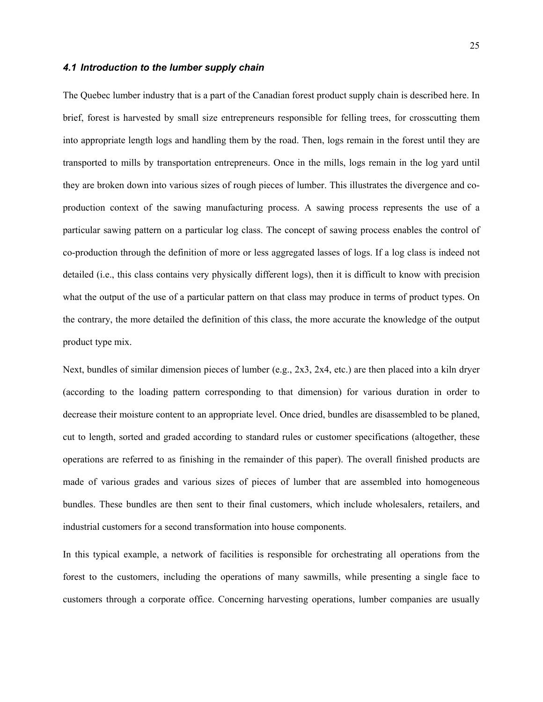### *4.1 Introduction to the lumber supply chain*

The Quebec lumber industry that is a part of the Canadian forest product supply chain is described here. In brief, forest is harvested by small size entrepreneurs responsible for felling trees, for crosscutting them into appropriate length logs and handling them by the road. Then, logs remain in the forest until they are transported to mills by transportation entrepreneurs. Once in the mills, logs remain in the log yard until they are broken down into various sizes of rough pieces of lumber. This illustrates the divergence and coproduction context of the sawing manufacturing process. A sawing process represents the use of a particular sawing pattern on a particular log class. The concept of sawing process enables the control of co-production through the definition of more or less aggregated lasses of logs. If a log class is indeed not detailed (i.e., this class contains very physically different logs), then it is difficult to know with precision what the output of the use of a particular pattern on that class may produce in terms of product types. On the contrary, the more detailed the definition of this class, the more accurate the knowledge of the output product type mix.

Next, bundles of similar dimension pieces of lumber (e.g., 2x3, 2x4, etc.) are then placed into a kiln dryer (according to the loading pattern corresponding to that dimension) for various duration in order to decrease their moisture content to an appropriate level. Once dried, bundles are disassembled to be planed, cut to length, sorted and graded according to standard rules or customer specifications (altogether, these operations are referred to as finishing in the remainder of this paper). The overall finished products are made of various grades and various sizes of pieces of lumber that are assembled into homogeneous bundles. These bundles are then sent to their final customers, which include wholesalers, retailers, and industrial customers for a second transformation into house components.

In this typical example, a network of facilities is responsible for orchestrating all operations from the forest to the customers, including the operations of many sawmills, while presenting a single face to customers through a corporate office. Concerning harvesting operations, lumber companies are usually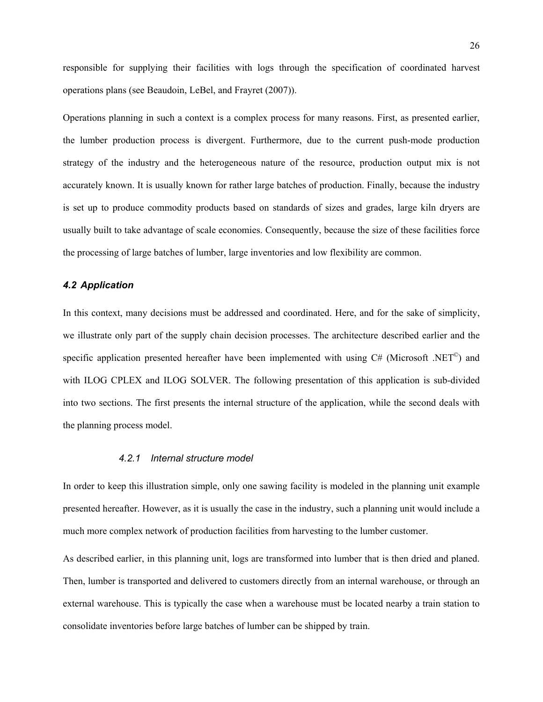responsible for supplying their facilities with logs through the specification of coordinated harvest operations plans (see Beaudoin, LeBel, and Frayret (2007)).

Operations planning in such a context is a complex process for many reasons. First, as presented earlier, the lumber production process is divergent. Furthermore, due to the current push-mode production strategy of the industry and the heterogeneous nature of the resource, production output mix is not accurately known. It is usually known for rather large batches of production. Finally, because the industry is set up to produce commodity products based on standards of sizes and grades, large kiln dryers are usually built to take advantage of scale economies. Consequently, because the size of these facilities force the processing of large batches of lumber, large inventories and low flexibility are common.

### *4.2 Application*

In this context, many decisions must be addressed and coordinated. Here, and for the sake of simplicity, we illustrate only part of the supply chain decision processes. The architecture described earlier and the specific application presented hereafter have been implemented with using  $C#$  (Microsoft .NET<sup>©</sup>) and with ILOG CPLEX and ILOG SOLVER. The following presentation of this application is sub-divided into two sections. The first presents the internal structure of the application, while the second deals with the planning process model.

### *4.2.1 Internal structure model*

In order to keep this illustration simple, only one sawing facility is modeled in the planning unit example presented hereafter. However, as it is usually the case in the industry, such a planning unit would include a much more complex network of production facilities from harvesting to the lumber customer.

As described earlier, in this planning unit, logs are transformed into lumber that is then dried and planed. Then, lumber is transported and delivered to customers directly from an internal warehouse, or through an external warehouse. This is typically the case when a warehouse must be located nearby a train station to consolidate inventories before large batches of lumber can be shipped by train.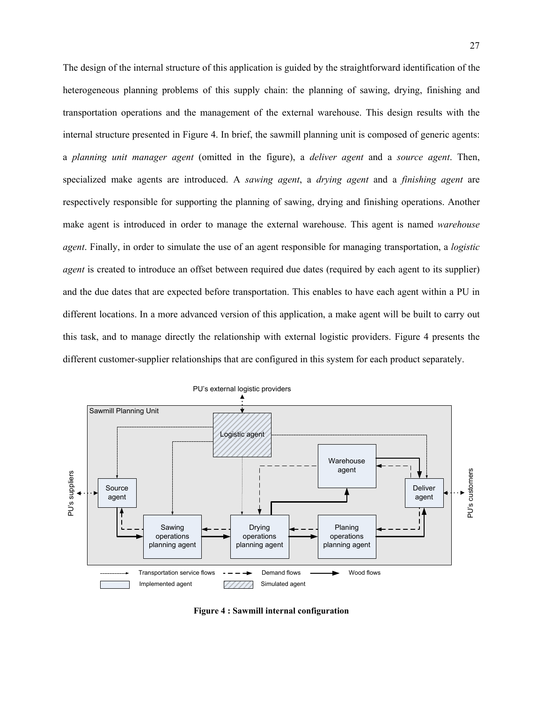The design of the internal structure of this application is guided by the straightforward identification of the heterogeneous planning problems of this supply chain: the planning of sawing, drying, finishing and transportation operations and the management of the external warehouse. This design results with the internal structure presented in Figure 4. In brief, the sawmill planning unit is composed of generic agents: a *planning unit manager agent* (omitted in the figure), a *deliver agent* and a *source agent*. Then, specialized make agents are introduced. A *sawing agent*, a *drying agent* and a *finishing agent* are respectively responsible for supporting the planning of sawing, drying and finishing operations. Another make agent is introduced in order to manage the external warehouse. This agent is named *warehouse agent*. Finally, in order to simulate the use of an agent responsible for managing transportation, a *logistic agent* is created to introduce an offset between required due dates (required by each agent to its supplier) and the due dates that are expected before transportation. This enables to have each agent within a PU in different locations. In a more advanced version of this application, a make agent will be built to carry out this task, and to manage directly the relationship with external logistic providers. Figure 4 presents the different customer-supplier relationships that are configured in this system for each product separately.



**Figure 4 : Sawmill internal configuration**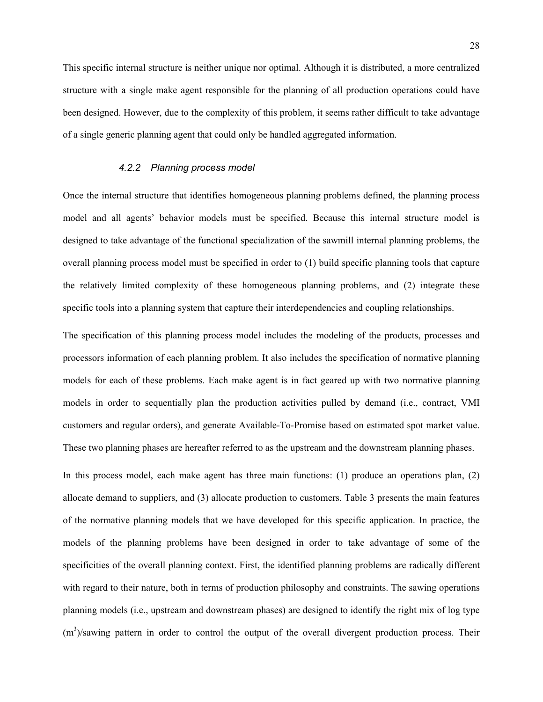This specific internal structure is neither unique nor optimal. Although it is distributed, a more centralized structure with a single make agent responsible for the planning of all production operations could have been designed. However, due to the complexity of this problem, it seems rather difficult to take advantage of a single generic planning agent that could only be handled aggregated information.

### *4.2.2 Planning process model*

Once the internal structure that identifies homogeneous planning problems defined, the planning process model and all agents' behavior models must be specified. Because this internal structure model is designed to take advantage of the functional specialization of the sawmill internal planning problems, the overall planning process model must be specified in order to (1) build specific planning tools that capture the relatively limited complexity of these homogeneous planning problems, and (2) integrate these specific tools into a planning system that capture their interdependencies and coupling relationships.

The specification of this planning process model includes the modeling of the products, processes and processors information of each planning problem. It also includes the specification of normative planning models for each of these problems. Each make agent is in fact geared up with two normative planning models in order to sequentially plan the production activities pulled by demand (i.e., contract, VMI customers and regular orders), and generate Available-To-Promise based on estimated spot market value. These two planning phases are hereafter referred to as the upstream and the downstream planning phases.

In this process model, each make agent has three main functions: (1) produce an operations plan, (2) allocate demand to suppliers, and (3) allocate production to customers. Table 3 presents the main features of the normative planning models that we have developed for this specific application. In practice, the models of the planning problems have been designed in order to take advantage of some of the specificities of the overall planning context. First, the identified planning problems are radically different with regard to their nature, both in terms of production philosophy and constraints. The sawing operations planning models (i.e., upstream and downstream phases) are designed to identify the right mix of log type  $(m<sup>3</sup>)$ /sawing pattern in order to control the output of the overall divergent production process. Their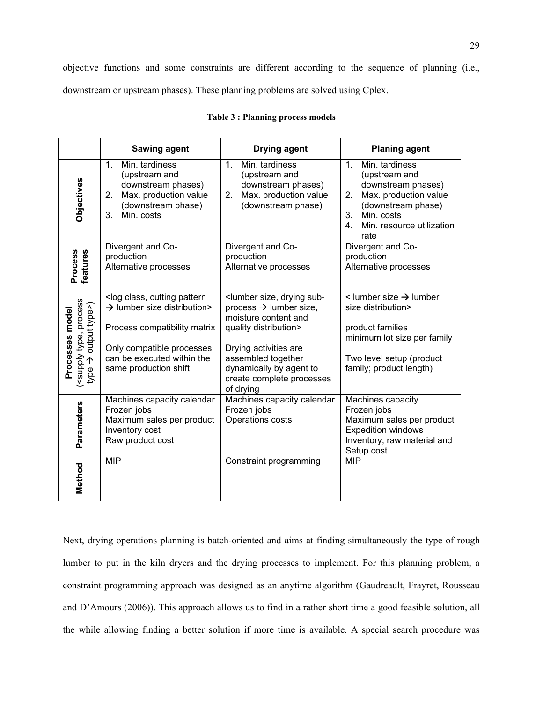objective functions and some constraints are different according to the sequence of planning (i.e., downstream or upstream phases). These planning problems are solved using Cplex.

|                                                                                             | <b>Sawing agent</b>                                                                                                                                                                                                         | <b>Drying agent</b>                                                                                                                                                                                                                                                         | <b>Planing agent</b>                                                                                                                                                                 |  |
|---------------------------------------------------------------------------------------------|-----------------------------------------------------------------------------------------------------------------------------------------------------------------------------------------------------------------------------|-----------------------------------------------------------------------------------------------------------------------------------------------------------------------------------------------------------------------------------------------------------------------------|--------------------------------------------------------------------------------------------------------------------------------------------------------------------------------------|--|
| <b>Objectives</b>                                                                           | Min. tardiness<br>1.<br>(upstream and<br>downstream phases)<br>Max. production value<br>2.<br>(downstream phase)<br>3.<br>Min. costs                                                                                        | 1.<br>Min. tardiness<br>(upstream and<br>downstream phases)<br>Max. production value<br>2.<br>(downstream phase)                                                                                                                                                            | 1.<br>Min. tardiness<br>(upstream and<br>downstream phases)<br>Max. production value<br>2.<br>(downstream phase)<br>$3_{-}$<br>Min. costs<br>Min. resource utilization<br>4.<br>rate |  |
| <b>features</b><br>Process                                                                  | Divergent and Co-<br>production<br>Alternative processes                                                                                                                                                                    | Divergent and Co-<br>production<br>Alternative processes                                                                                                                                                                                                                    | Divergent and Co-<br>production<br>Alternative processes                                                                                                                             |  |
| <supply process<br="" type,="">output type&gt;)<br/>Processes model<br/>个<br/>type</supply> | <log class,="" cutting="" pattern<br=""><math>\rightarrow</math> lumber size distribution&gt;<br/>Process compatibility matrix<br/>Only compatible processes<br/>can be executed within the<br/>same production shift</log> | <lumber drying="" size,="" sub-<br="">process <math>\rightarrow</math> lumber size,<br/>moisture content and<br/>quality distribution&gt;<br/>Drying activities are<br/>assembled together<br/>dynamically by agent to<br/>create complete processes<br/>of drying</lumber> | $\leq$ lumber size $\rightarrow$ lumber<br>size distribution><br>product families<br>minimum lot size per family<br>Two level setup (product<br>family; product length)              |  |
| Parameters                                                                                  | Machines capacity calendar<br>Frozen jobs<br>Maximum sales per product<br>Inventory cost<br>Raw product cost                                                                                                                | Machines capacity calendar<br>Frozen jobs<br>Operations costs                                                                                                                                                                                                               | Machines capacity<br>Frozen jobs<br>Maximum sales per product<br><b>Expedition windows</b><br>Inventory, raw material and<br>Setup cost                                              |  |
| Method                                                                                      | <b>MIP</b>                                                                                                                                                                                                                  | Constraint programming                                                                                                                                                                                                                                                      | MIP                                                                                                                                                                                  |  |

|  |  | <b>Table 3: Planning process models</b> |  |  |
|--|--|-----------------------------------------|--|--|
|--|--|-----------------------------------------|--|--|

Next, drying operations planning is batch-oriented and aims at finding simultaneously the type of rough lumber to put in the kiln dryers and the drying processes to implement. For this planning problem, a constraint programming approach was designed as an anytime algorithm (Gaudreault, Frayret, Rousseau and D'Amours (2006)). This approach allows us to find in a rather short time a good feasible solution, all the while allowing finding a better solution if more time is available. A special search procedure was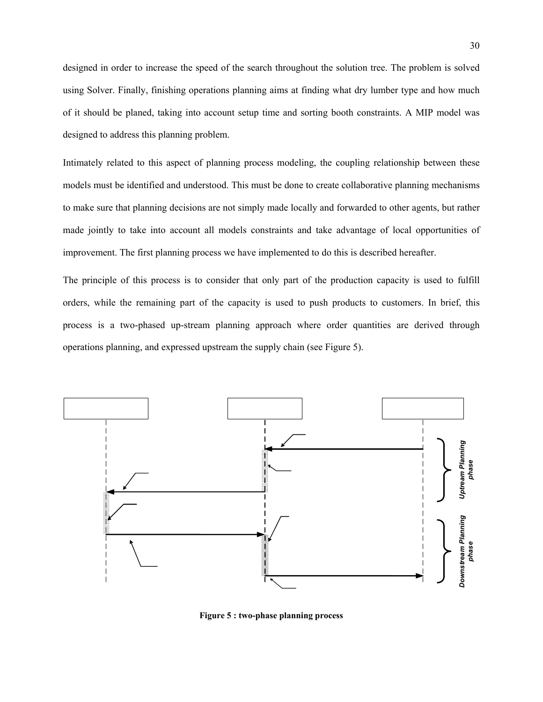designed in order to increase the speed of the search throughout the solution tree. The problem is solved using Solver. Finally, finishing operations planning aims at finding what dry lumber type and how much of it should be planed, taking into account setup time and sorting booth constraints. A MIP model was designed to address this planning problem.

Intimately related to this aspect of planning process modeling, the coupling relationship between these models must be identified and understood. This must be done to create collaborative planning mechanisms to make sure that planning decisions are not simply made locally and forwarded to other agents, but rather made jointly to take into account all models constraints and take advantage of local opportunities of improvement. The first planning process we have implemented to do this is described hereafter.

The principle of this process is to consider that only part of the production capacity is used to fulfill orders, while the remaining part of the capacity is used to push products to customers. In brief, this process is a two-phased up-stream planning approach where order quantities are derived through operations planning, and expressed upstream the supply chain (see Figure 5).



**Figure 5 : two-phase planning process**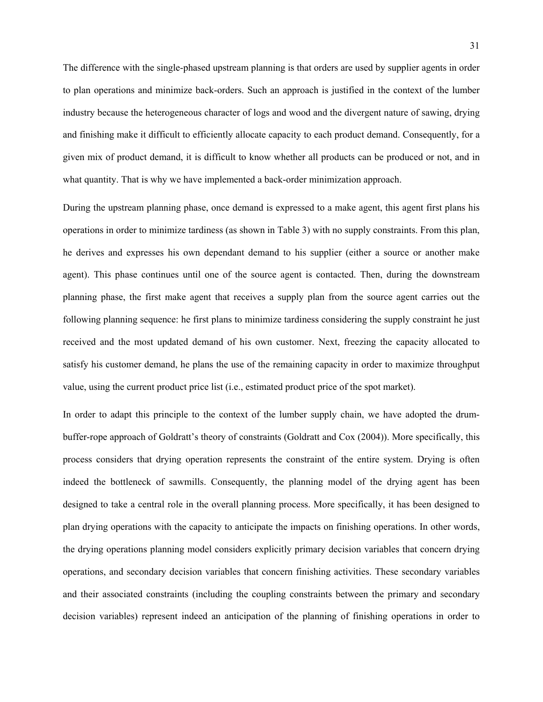The difference with the single-phased upstream planning is that orders are used by supplier agents in order to plan operations and minimize back-orders. Such an approach is justified in the context of the lumber industry because the heterogeneous character of logs and wood and the divergent nature of sawing, drying and finishing make it difficult to efficiently allocate capacity to each product demand. Consequently, for a given mix of product demand, it is difficult to know whether all products can be produced or not, and in what quantity. That is why we have implemented a back-order minimization approach.

During the upstream planning phase, once demand is expressed to a make agent, this agent first plans his operations in order to minimize tardiness (as shown in Table 3) with no supply constraints. From this plan, he derives and expresses his own dependant demand to his supplier (either a source or another make agent). This phase continues until one of the source agent is contacted. Then, during the downstream planning phase, the first make agent that receives a supply plan from the source agent carries out the following planning sequence: he first plans to minimize tardiness considering the supply constraint he just received and the most updated demand of his own customer. Next, freezing the capacity allocated to satisfy his customer demand, he plans the use of the remaining capacity in order to maximize throughput value, using the current product price list (i.e., estimated product price of the spot market).

In order to adapt this principle to the context of the lumber supply chain, we have adopted the drumbuffer-rope approach of Goldratt's theory of constraints (Goldratt and Cox (2004)). More specifically, this process considers that drying operation represents the constraint of the entire system. Drying is often indeed the bottleneck of sawmills. Consequently, the planning model of the drying agent has been designed to take a central role in the overall planning process. More specifically, it has been designed to plan drying operations with the capacity to anticipate the impacts on finishing operations. In other words, the drying operations planning model considers explicitly primary decision variables that concern drying operations, and secondary decision variables that concern finishing activities. These secondary variables and their associated constraints (including the coupling constraints between the primary and secondary decision variables) represent indeed an anticipation of the planning of finishing operations in order to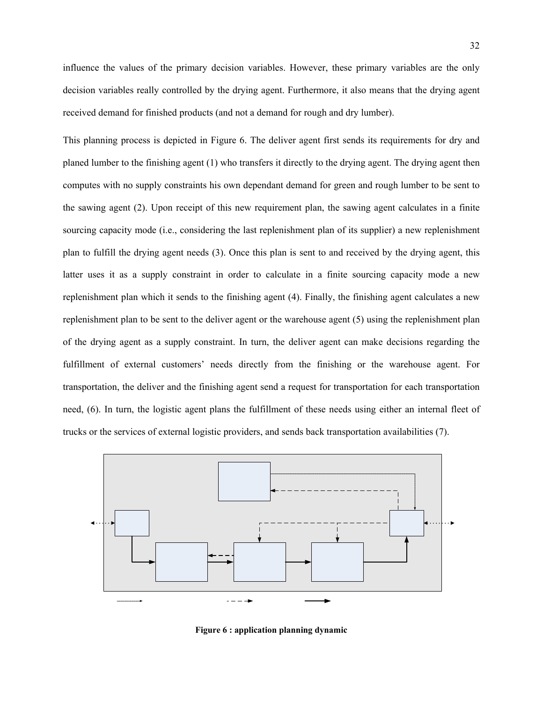influence the values of the primary decision variables. However, these primary variables are the only decision variables really controlled by the drying agent. Furthermore, it also means that the drying agent received demand for finished products (and not a demand for rough and dry lumber).

This planning process is depicted in Figure 6. The deliver agent first sends its requirements for dry and planed lumber to the finishing agent (1) who transfers it directly to the drying agent. The drying agent then computes with no supply constraints his own dependant demand for green and rough lumber to be sent to the sawing agent (2). Upon receipt of this new requirement plan, the sawing agent calculates in a finite sourcing capacity mode (i.e., considering the last replenishment plan of its supplier) a new replenishment plan to fulfill the drying agent needs (3). Once this plan is sent to and received by the drying agent, this latter uses it as a supply constraint in order to calculate in a finite sourcing capacity mode a new replenishment plan which it sends to the finishing agent (4). Finally, the finishing agent calculates a new replenishment plan to be sent to the deliver agent or the warehouse agent (5) using the replenishment plan of the drying agent as a supply constraint. In turn, the deliver agent can make decisions regarding the fulfillment of external customers' needs directly from the finishing or the warehouse agent. For transportation, the deliver and the finishing agent send a request for transportation for each transportation need, (6). In turn, the logistic agent plans the fulfillment of these needs using either an internal fleet of trucks or the services of external logistic providers, and sends back transportation availabilities (7).



**Figure 6 : application planning dynamic**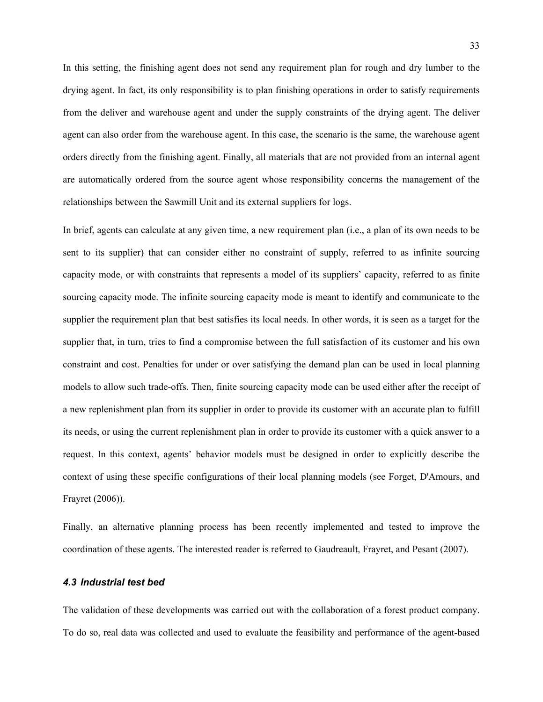In this setting, the finishing agent does not send any requirement plan for rough and dry lumber to the drying agent. In fact, its only responsibility is to plan finishing operations in order to satisfy requirements from the deliver and warehouse agent and under the supply constraints of the drying agent. The deliver agent can also order from the warehouse agent. In this case, the scenario is the same, the warehouse agent orders directly from the finishing agent. Finally, all materials that are not provided from an internal agent are automatically ordered from the source agent whose responsibility concerns the management of the relationships between the Sawmill Unit and its external suppliers for logs.

In brief, agents can calculate at any given time, a new requirement plan (i.e., a plan of its own needs to be sent to its supplier) that can consider either no constraint of supply, referred to as infinite sourcing capacity mode, or with constraints that represents a model of its suppliers' capacity, referred to as finite sourcing capacity mode. The infinite sourcing capacity mode is meant to identify and communicate to the supplier the requirement plan that best satisfies its local needs. In other words, it is seen as a target for the supplier that, in turn, tries to find a compromise between the full satisfaction of its customer and his own constraint and cost. Penalties for under or over satisfying the demand plan can be used in local planning models to allow such trade-offs. Then, finite sourcing capacity mode can be used either after the receipt of a new replenishment plan from its supplier in order to provide its customer with an accurate plan to fulfill its needs, or using the current replenishment plan in order to provide its customer with a quick answer to a request. In this context, agents' behavior models must be designed in order to explicitly describe the context of using these specific configurations of their local planning models (see Forget, D'Amours, and Frayret (2006)).

Finally, an alternative planning process has been recently implemented and tested to improve the coordination of these agents. The interested reader is referred to Gaudreault, Frayret, and Pesant (2007).

### *4.3 Industrial test bed*

The validation of these developments was carried out with the collaboration of a forest product company. To do so, real data was collected and used to evaluate the feasibility and performance of the agent-based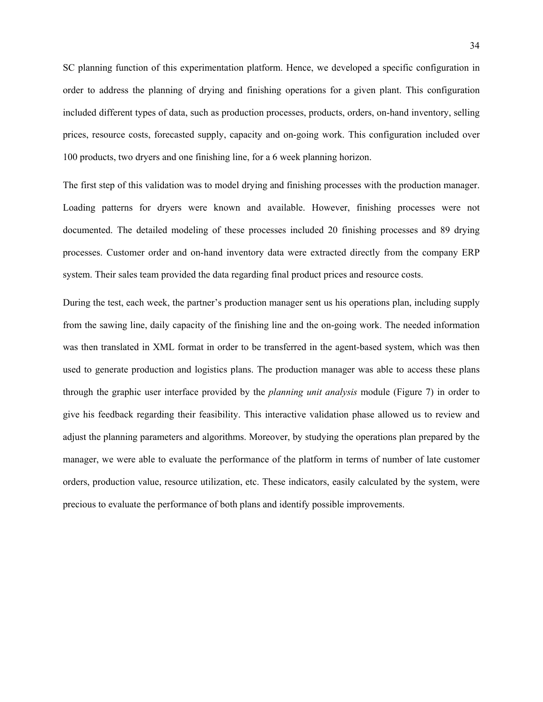SC planning function of this experimentation platform. Hence, we developed a specific configuration in order to address the planning of drying and finishing operations for a given plant. This configuration included different types of data, such as production processes, products, orders, on-hand inventory, selling prices, resource costs, forecasted supply, capacity and on-going work. This configuration included over 100 products, two dryers and one finishing line, for a 6 week planning horizon.

The first step of this validation was to model drying and finishing processes with the production manager. Loading patterns for dryers were known and available. However, finishing processes were not documented. The detailed modeling of these processes included 20 finishing processes and 89 drying processes. Customer order and on-hand inventory data were extracted directly from the company ERP system. Their sales team provided the data regarding final product prices and resource costs.

During the test, each week, the partner's production manager sent us his operations plan, including supply from the sawing line, daily capacity of the finishing line and the on-going work. The needed information was then translated in XML format in order to be transferred in the agent-based system, which was then used to generate production and logistics plans. The production manager was able to access these plans through the graphic user interface provided by the *planning unit analysis* module (Figure 7) in order to give his feedback regarding their feasibility. This interactive validation phase allowed us to review and adjust the planning parameters and algorithms. Moreover, by studying the operations plan prepared by the manager, we were able to evaluate the performance of the platform in terms of number of late customer orders, production value, resource utilization, etc. These indicators, easily calculated by the system, were precious to evaluate the performance of both plans and identify possible improvements.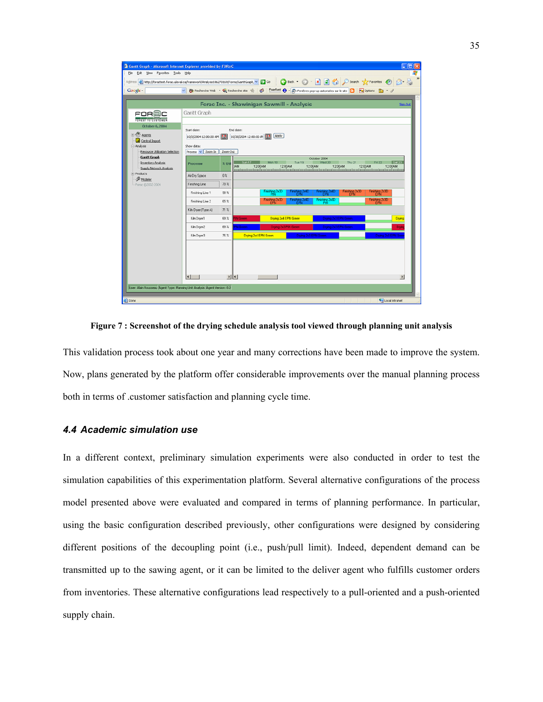

**Figure 7 : Screenshot of the drying schedule analysis tool viewed through planning unit analysis** 

This validation process took about one year and many corrections have been made to improve the system. Now, plans generated by the platform offer considerable improvements over the manual planning process both in terms of .customer satisfaction and planning cycle time.

### *4.4 Academic simulation use*

In a different context, preliminary simulation experiments were also conducted in order to test the simulation capabilities of this experimentation platform. Several alternative configurations of the process model presented above were evaluated and compared in terms of planning performance. In particular, using the basic configuration described previously, other configurations were designed by considering different positions of the decoupling point (i.e., push/pull limit). Indeed, dependent demand can be transmitted up to the sawing agent, or it can be limited to the deliver agent who fulfills customer orders from inventories. These alternative configurations lead respectively to a pull-oriented and a push-oriented supply chain.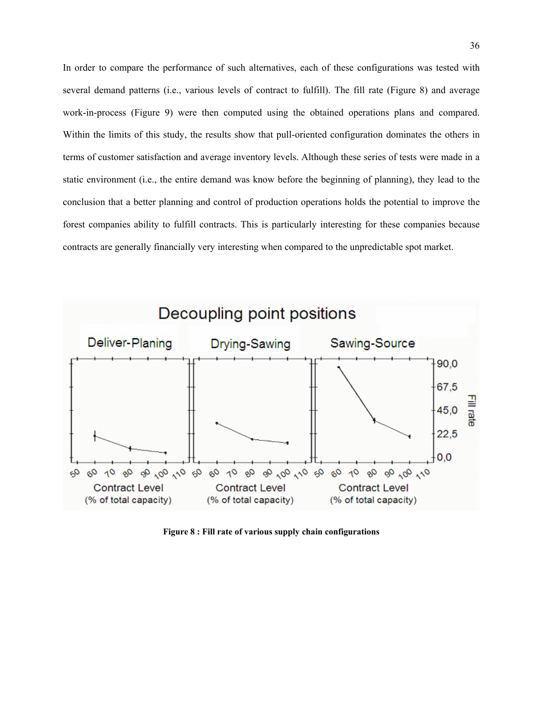In order to compare the performance of such alternatives, each of these configurations was tested with several demand patterns (i.e., various levels of contract to fulfill). The fill rate (Figure 8) and average work-in-process (Figure 9) were then computed using the obtained operations plans and compared. Within the limits of this study, the results show that pull-oriented configuration dominates the others in terms of customer satisfaction and average inventory levels. Although these series of tests were made in a static environment (i.e., the entire demand was know before the beginning of planning), they lead to the conclusion that a better planning and control of production operations holds the potential to improve the forest companies ability to fulfill contracts. This is particularly interesting for these companies because contracts are generally financially very interesting when compared to the unpredictable spot market.



**Figure 8 : Fill rate of various supply chain configurations**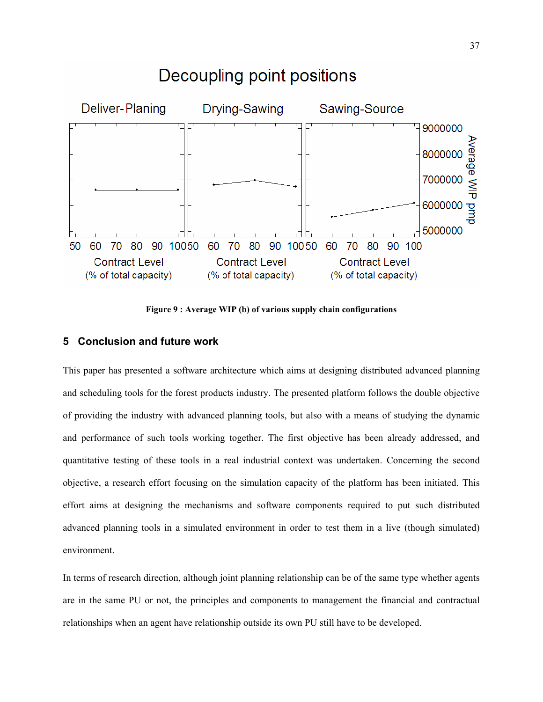

**Figure 9 : Average WIP (b) of various supply chain configurations** 

### **5 Conclusion and future work**

This paper has presented a software architecture which aims at designing distributed advanced planning and scheduling tools for the forest products industry. The presented platform follows the double objective of providing the industry with advanced planning tools, but also with a means of studying the dynamic and performance of such tools working together. The first objective has been already addressed, and quantitative testing of these tools in a real industrial context was undertaken. Concerning the second objective, a research effort focusing on the simulation capacity of the platform has been initiated. This effort aims at designing the mechanisms and software components required to put such distributed advanced planning tools in a simulated environment in order to test them in a live (though simulated) environment.

In terms of research direction, although joint planning relationship can be of the same type whether agents are in the same PU or not, the principles and components to management the financial and contractual relationships when an agent have relationship outside its own PU still have to be developed.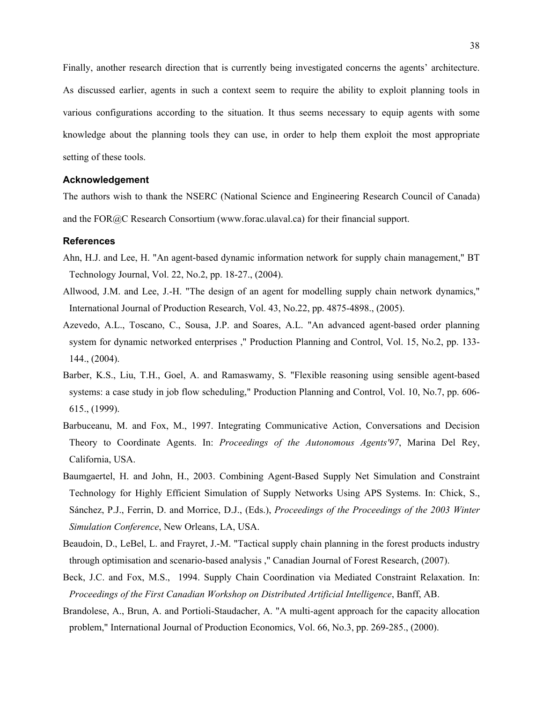Finally, another research direction that is currently being investigated concerns the agents' architecture. As discussed earlier, agents in such a context seem to require the ability to exploit planning tools in various configurations according to the situation. It thus seems necessary to equip agents with some knowledge about the planning tools they can use, in order to help them exploit the most appropriate setting of these tools.

### **Acknowledgement**

The authors wish to thank the NSERC (National Science and Engineering Research Council of Canada) and the FOR@C Research Consortium (www.forac.ulaval.ca) for their financial support.

### **References**

- Ahn, H.J. and Lee, H. "An agent-based dynamic information network for supply chain management," BT Technology Journal, Vol. 22, No.2, pp. 18-27., (2004).
- Allwood, J.M. and Lee, J.-H. "The design of an agent for modelling supply chain network dynamics," International Journal of Production Research, Vol. 43, No.22, pp. 4875-4898., (2005).
- Azevedo, A.L., Toscano, C., Sousa, J.P. and Soares, A.L. "An advanced agent-based order planning system for dynamic networked enterprises ," Production Planning and Control, Vol. 15, No.2, pp. 133- 144., (2004).
- Barber, K.S., Liu, T.H., Goel, A. and Ramaswamy, S. "Flexible reasoning using sensible agent-based systems: a case study in job flow scheduling," Production Planning and Control, Vol. 10, No.7, pp. 606-615., (1999).
- Barbuceanu, M. and Fox, M., 1997. Integrating Communicative Action, Conversations and Decision Theory to Coordinate Agents. In: *Proceedings of the Autonomous Agents'97*, Marina Del Rey, California, USA.
- Baumgaertel, H. and John, H., 2003. Combining Agent-Based Supply Net Simulation and Constraint Technology for Highly Efficient Simulation of Supply Networks Using APS Systems. In: Chick, S., Sánchez, P.J., Ferrin, D. and Morrice, D.J., (Eds.), *Proceedings of the Proceedings of the 2003 Winter Simulation Conference*, New Orleans, LA, USA.
- Beaudoin, D., LeBel, L. and Frayret, J.-M. "Tactical supply chain planning in the forest products industry through optimisation and scenario-based analysis ," Canadian Journal of Forest Research, (2007).
- Beck, J.C. and Fox, M.S., 1994. Supply Chain Coordination via Mediated Constraint Relaxation. In: *Proceedings of the First Canadian Workshop on Distributed Artificial Intelligence*, Banff, AB.
- Brandolese, A., Brun, A. and Portioli-Staudacher, A. "A multi-agent approach for the capacity allocation problem," International Journal of Production Economics, Vol. 66, No.3, pp. 269-285., (2000).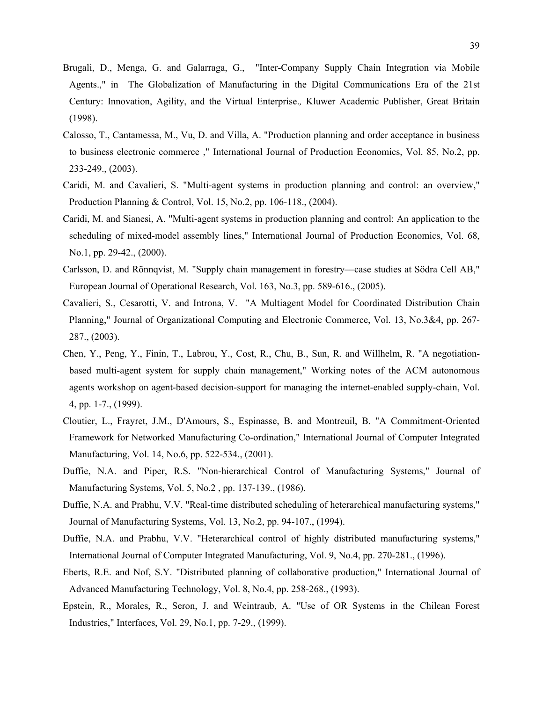- Brugali, D., Menga, G. and Galarraga, G., "Inter-Company Supply Chain Integration via Mobile Agents.," in The Globalization of Manufacturing in the Digital Communications Era of the 21st Century: Innovation, Agility, and the Virtual Enterprise.*,* Kluwer Academic Publisher, Great Britain (1998).
- Calosso, T., Cantamessa, M., Vu, D. and Villa, A. "Production planning and order acceptance in business to business electronic commerce ," International Journal of Production Economics, Vol. 85, No.2, pp. 233-249., (2003).
- Caridi, M. and Cavalieri, S. "Multi-agent systems in production planning and control: an overview," Production Planning & Control, Vol. 15, No.2, pp. 106-118., (2004).
- Caridi, M. and Sianesi, A. "Multi-agent systems in production planning and control: An application to the scheduling of mixed-model assembly lines," International Journal of Production Economics, Vol. 68, No.1, pp. 29-42., (2000).
- Carlsson, D. and Rönnqvist, M. "Supply chain management in forestry––case studies at Södra Cell AB," European Journal of Operational Research, Vol. 163, No.3, pp. 589-616., (2005).
- Cavalieri, S., Cesarotti, V. and Introna, V. "A Multiagent Model for Coordinated Distribution Chain Planning," Journal of Organizational Computing and Electronic Commerce, Vol. 13, No.3&4, pp. 267- 287., (2003).
- Chen, Y., Peng, Y., Finin, T., Labrou, Y., Cost, R., Chu, B., Sun, R. and Willhelm, R. "A negotiationbased multi-agent system for supply chain management," Working notes of the ACM autonomous agents workshop on agent-based decision-support for managing the internet-enabled supply-chain, Vol. 4, pp. 1-7., (1999).
- Cloutier, L., Frayret, J.M., D'Amours, S., Espinasse, B. and Montreuil, B. "A Commitment-Oriented Framework for Networked Manufacturing Co-ordination," International Journal of Computer Integrated Manufacturing, Vol. 14, No.6, pp. 522-534., (2001).
- Duffie, N.A. and Piper, R.S. "Non-hierarchical Control of Manufacturing Systems," Journal of Manufacturing Systems, Vol. 5, No.2 , pp. 137-139., (1986).
- Duffie, N.A. and Prabhu, V.V. "Real-time distributed scheduling of heterarchical manufacturing systems," Journal of Manufacturing Systems, Vol. 13, No.2, pp. 94-107., (1994).
- Duffie, N.A. and Prabhu, V.V. "Heterarchical control of highly distributed manufacturing systems," International Journal of Computer Integrated Manufacturing, Vol. 9, No.4, pp. 270-281., (1996).
- Eberts, R.E. and Nof, S.Y. "Distributed planning of collaborative production," International Journal of Advanced Manufacturing Technology, Vol. 8, No.4, pp. 258-268., (1993).
- Epstein, R., Morales, R., Seron, J. and Weintraub, A. "Use of OR Systems in the Chilean Forest Industries," Interfaces, Vol. 29, No.1, pp. 7-29., (1999).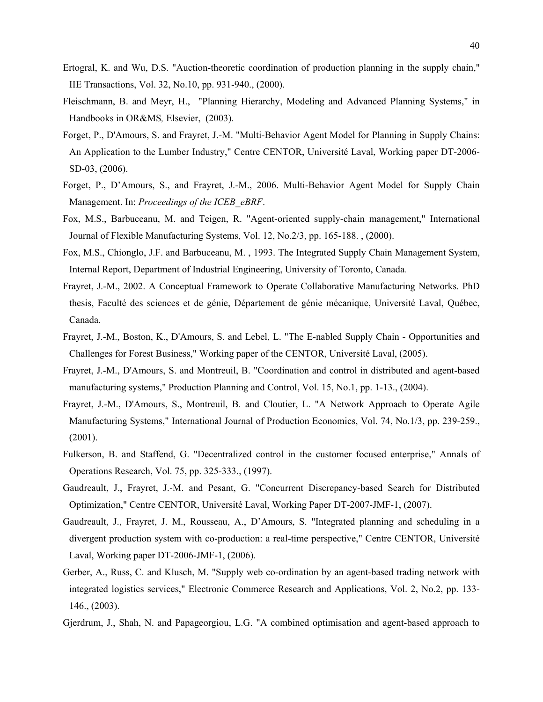- Ertogral, K. and Wu, D.S. "Auction-theoretic coordination of production planning in the supply chain," IIE Transactions, Vol. 32, No.10, pp. 931-940., (2000).
- Fleischmann, B. and Meyr, H., "Planning Hierarchy, Modeling and Advanced Planning Systems," in Handbooks in OR&MS*,* Elsevier, (2003).
- Forget, P., D'Amours, S. and Frayret, J.-M. "Multi-Behavior Agent Model for Planning in Supply Chains: An Application to the Lumber Industry," Centre CENTOR, Université Laval, Working paper DT-2006- SD-03, (2006).
- Forget, P., D'Amours, S., and Frayret, J.-M., 2006. Multi-Behavior Agent Model for Supply Chain Management. In: *Proceedings of the ICEB\_eBRF*.
- Fox, M.S., Barbuceanu, M. and Teigen, R. "Agent-oriented supply-chain management," International Journal of Flexible Manufacturing Systems, Vol. 12, No.2/3, pp. 165-188. , (2000).
- Fox, M.S., Chionglo, J.F. and Barbuceanu, M. , 1993. The Integrated Supply Chain Management System, Internal Report, Department of Industrial Engineering, University of Toronto, Canada*.*
- Frayret, J.-M., 2002. A Conceptual Framework to Operate Collaborative Manufacturing Networks. PhD thesis, Faculté des sciences et de génie, Département de génie mécanique, Université Laval, Québec, Canada.
- Frayret, J.-M., Boston, K., D'Amours, S. and Lebel, L. "The E-nabled Supply Chain Opportunities and Challenges for Forest Business," Working paper of the CENTOR, Université Laval, (2005).
- Frayret, J.-M., D'Amours, S. and Montreuil, B. "Coordination and control in distributed and agent-based manufacturing systems," Production Planning and Control, Vol. 15, No.1, pp. 1-13., (2004).
- Frayret, J.-M., D'Amours, S., Montreuil, B. and Cloutier, L. "A Network Approach to Operate Agile Manufacturing Systems," International Journal of Production Economics, Vol. 74, No.1/3, pp. 239-259., (2001).
- Fulkerson, B. and Staffend, G. "Decentralized control in the customer focused enterprise," Annals of Operations Research, Vol. 75, pp. 325-333., (1997).
- Gaudreault, J., Frayret, J.-M. and Pesant, G. "Concurrent Discrepancy-based Search for Distributed Optimization," Centre CENTOR, Université Laval, Working Paper DT-2007-JMF-1, (2007).
- Gaudreault, J., Frayret, J. M., Rousseau, A., D'Amours, S. "Integrated planning and scheduling in a divergent production system with co-production: a real-time perspective," Centre CENTOR, Université Laval, Working paper DT-2006-JMF-1, (2006).
- Gerber, A., Russ, C. and Klusch, M. "Supply web co-ordination by an agent-based trading network with integrated logistics services," Electronic Commerce Research and Applications, Vol. 2, No.2, pp. 133- 146., (2003).
- Gjerdrum, J., Shah, N. and Papageorgiou, L.G. "A combined optimisation and agent-based approach to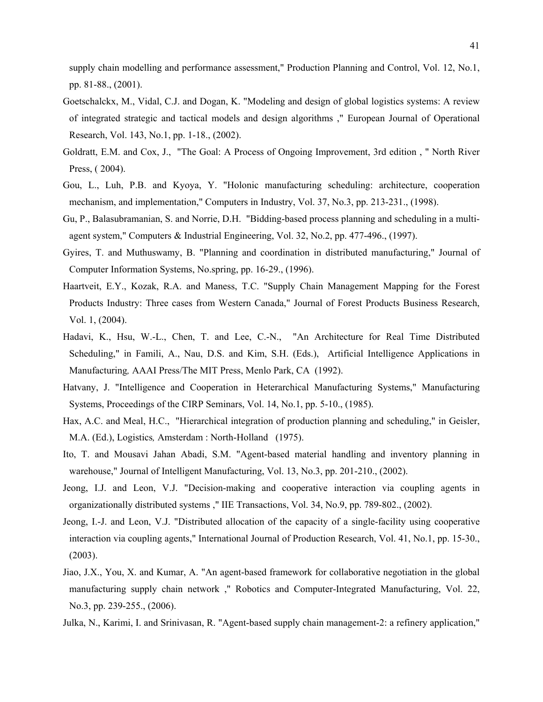supply chain modelling and performance assessment," Production Planning and Control, Vol. 12, No.1, pp. 81-88., (2001).

- Goetschalckx, M., Vidal, C.J. and Dogan, K. "Modeling and design of global logistics systems: A review of integrated strategic and tactical models and design algorithms ," European Journal of Operational Research, Vol. 143, No.1, pp. 1-18., (2002).
- Goldratt, E.M. and Cox, J., "The Goal: A Process of Ongoing Improvement, 3rd edition , " North River Press, ( 2004).
- Gou, L., Luh, P.B. and Kyoya, Y. "Holonic manufacturing scheduling: architecture, cooperation mechanism, and implementation," Computers in Industry, Vol. 37, No.3, pp. 213-231., (1998).
- Gu, P., Balasubramanian, S. and Norrie, D.H. "Bidding-based process planning and scheduling in a multiagent system," Computers & Industrial Engineering, Vol. 32, No.2, pp. 477-496., (1997).
- Gyires, T. and Muthuswamy, B. "Planning and coordination in distributed manufacturing," Journal of Computer Information Systems, No.spring, pp. 16-29., (1996).
- Haartveit, E.Y., Kozak, R.A. and Maness, T.C. "Supply Chain Management Mapping for the Forest Products Industry: Three cases from Western Canada," Journal of Forest Products Business Research, Vol. 1, (2004).
- Hadavi, K., Hsu, W.-L., Chen, T. and Lee, C.-N., "An Architecture for Real Time Distributed Scheduling," in Famili, A., Nau, D.S. and Kim, S.H. (Eds.), Artificial Intelligence Applications in Manufacturing*,* AAAI Press/The MIT Press, Menlo Park, CA (1992).
- Hatvany, J. "Intelligence and Cooperation in Heterarchical Manufacturing Systems," Manufacturing Systems, Proceedings of the CIRP Seminars, Vol. 14, No.1, pp. 5-10., (1985).
- Hax, A.C. and Meal, H.C., "Hierarchical integration of production planning and scheduling," in Geisler, M.A. (Ed.), Logistics*,* Amsterdam : North-Holland (1975).
- Ito, T. and Mousavi Jahan Abadi, S.M. "Agent-based material handling and inventory planning in warehouse," Journal of Intelligent Manufacturing, Vol. 13, No.3, pp. 201-210., (2002).
- Jeong, I.J. and Leon, V.J. "Decision-making and cooperative interaction via coupling agents in organizationally distributed systems ," IIE Transactions, Vol. 34, No.9, pp. 789-802., (2002).
- Jeong, I.-J. and Leon, V.J. "Distributed allocation of the capacity of a single-facility using cooperative interaction via coupling agents," International Journal of Production Research, Vol. 41, No.1, pp. 15-30., (2003).
- Jiao, J.X., You, X. and Kumar, A. "An agent-based framework for collaborative negotiation in the global manufacturing supply chain network ," Robotics and Computer-Integrated Manufacturing, Vol. 22, No.3, pp. 239-255., (2006).
- Julka, N., Karimi, I. and Srinivasan, R. "Agent-based supply chain management-2: a refinery application,"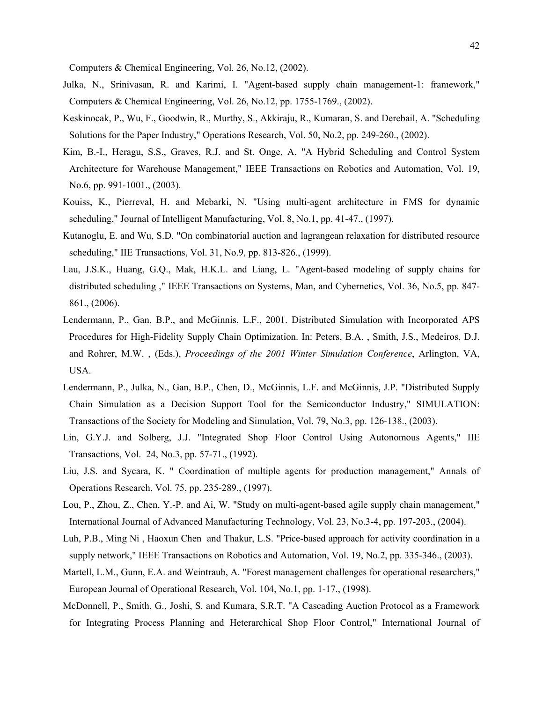Computers & Chemical Engineering, Vol. 26, No.12, (2002).

- Julka, N., Srinivasan, R. and Karimi, I. "Agent-based supply chain management-1: framework," Computers & Chemical Engineering, Vol. 26, No.12, pp. 1755-1769., (2002).
- Keskinocak, P., Wu, F., Goodwin, R., Murthy, S., Akkiraju, R., Kumaran, S. and Derebail, A. "Scheduling Solutions for the Paper Industry," Operations Research, Vol. 50, No.2, pp. 249-260., (2002).
- Kim, B.-I., Heragu, S.S., Graves, R.J. and St. Onge, A. "A Hybrid Scheduling and Control System Architecture for Warehouse Management," IEEE Transactions on Robotics and Automation, Vol. 19, No.6, pp. 991-1001., (2003).
- Kouiss, K., Pierreval, H. and Mebarki, N. "Using multi-agent architecture in FMS for dynamic scheduling," Journal of Intelligent Manufacturing, Vol. 8, No.1, pp. 41-47., (1997).
- Kutanoglu, E. and Wu, S.D. "On combinatorial auction and lagrangean relaxation for distributed resource scheduling," IIE Transactions, Vol. 31, No.9, pp. 813-826., (1999).
- Lau, J.S.K., Huang, G.Q., Mak, H.K.L. and Liang, L. "Agent-based modeling of supply chains for distributed scheduling ," IEEE Transactions on Systems, Man, and Cybernetics, Vol. 36, No.5, pp. 847- 861., (2006).
- Lendermann, P., Gan, B.P., and McGinnis, L.F., 2001. Distributed Simulation with Incorporated APS Procedures for High-Fidelity Supply Chain Optimization. In: Peters, B.A. , Smith, J.S., Medeiros, D.J. and Rohrer, M.W. , (Eds.), *Proceedings of the 2001 Winter Simulation Conference*, Arlington, VA, USA.
- Lendermann, P., Julka, N., Gan, B.P., Chen, D., McGinnis, L.F. and McGinnis, J.P. "Distributed Supply Chain Simulation as a Decision Support Tool for the Semiconductor Industry," SIMULATION: Transactions of the Society for Modeling and Simulation, Vol. 79, No.3, pp. 126-138., (2003).
- Lin, G.Y.J. and Solberg, J.J. "Integrated Shop Floor Control Using Autonomous Agents," IIE Transactions, Vol. 24, No.3, pp. 57-71., (1992).
- Liu, J.S. and Sycara, K. " Coordination of multiple agents for production management," Annals of Operations Research, Vol. 75, pp. 235-289., (1997).
- Lou, P., Zhou, Z., Chen, Y.-P. and Ai, W. "Study on multi-agent-based agile supply chain management," International Journal of Advanced Manufacturing Technology, Vol. 23, No.3-4, pp. 197-203., (2004).
- Luh, P.B., Ming Ni , Haoxun Chen and Thakur, L.S. "Price-based approach for activity coordination in a supply network," IEEE Transactions on Robotics and Automation, Vol. 19, No.2, pp. 335-346., (2003).
- Martell, L.M., Gunn, E.A. and Weintraub, A. "Forest management challenges for operational researchers," European Journal of Operational Research, Vol. 104, No.1, pp. 1-17., (1998).
- McDonnell, P., Smith, G., Joshi, S. and Kumara, S.R.T. "A Cascading Auction Protocol as a Framework for Integrating Process Planning and Heterarchical Shop Floor Control," International Journal of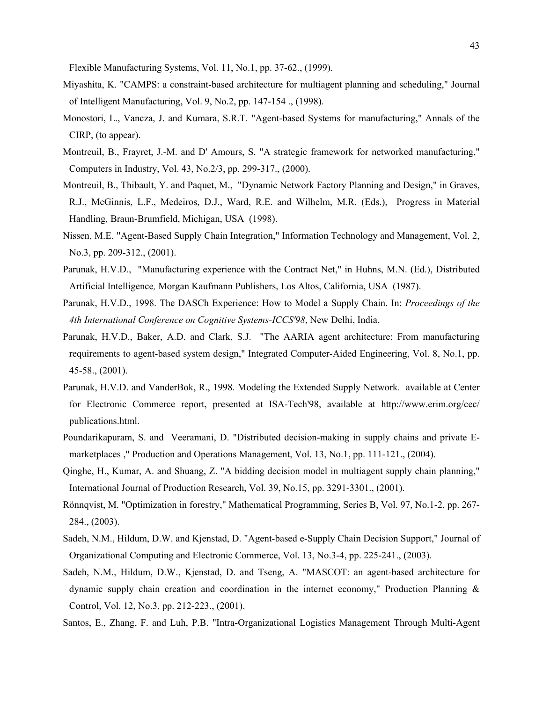Flexible Manufacturing Systems, Vol. 11, No.1, pp. 37-62., (1999).

- Miyashita, K. "CAMPS: a constraint-based architecture for multiagent planning and scheduling," Journal of Intelligent Manufacturing, Vol. 9, No.2, pp. 147-154 ., (1998).
- Monostori, L., Vancza, J. and Kumara, S.R.T. "Agent-based Systems for manufacturing," Annals of the CIRP, (to appear).
- Montreuil, B., Frayret, J.-M. and D' Amours, S. "A strategic framework for networked manufacturing," Computers in Industry, Vol. 43, No.2/3, pp. 299-317., (2000).
- Montreuil, B., Thibault, Y. and Paquet, M., "Dynamic Network Factory Planning and Design," in Graves, R.J., McGinnis, L.F., Medeiros, D.J., Ward, R.E. and Wilhelm, M.R. (Eds.), Progress in Material Handling*,* Braun-Brumfield, Michigan, USA (1998).
- Nissen, M.E. "Agent-Based Supply Chain Integration," Information Technology and Management, Vol. 2, No.3, pp. 209-312., (2001).
- Parunak, H.V.D., "Manufacturing experience with the Contract Net," in Huhns, M.N. (Ed.), Distributed Artificial Intelligence*,* Morgan Kaufmann Publishers, Los Altos, California, USA (1987).
- Parunak, H.V.D., 1998. The DASCh Experience: How to Model a Supply Chain. In: *Proceedings of the 4th International Conference on Cognitive Systems-ICCS'98*, New Delhi, India.
- Parunak, H.V.D., Baker, A.D. and Clark, S.J. "The AARIA agent architecture: From manufacturing requirements to agent-based system design," Integrated Computer-Aided Engineering, Vol. 8, No.1, pp. 45-58., (2001).
- Parunak, H.V.D. and VanderBok, R., 1998. Modeling the Extended Supply Network*.* available at Center for Electronic Commerce report, presented at ISA-Tech'98, available at http://www.erim.org/cec/ publications.html.
- Poundarikapuram, S. and Veeramani, D. "Distributed decision-making in supply chains and private Emarketplaces ," Production and Operations Management, Vol. 13, No.1, pp. 111-121., (2004).
- Qinghe, H., Kumar, A. and Shuang, Z. "A bidding decision model in multiagent supply chain planning," International Journal of Production Research, Vol. 39, No.15, pp. 3291-3301., (2001).
- Rönnqvist, M. "Optimization in forestry," Mathematical Programming, Series B, Vol. 97, No.1-2, pp. 267- 284., (2003).
- Sadeh, N.M., Hildum, D.W. and Kjenstad, D. "Agent-based e-Supply Chain Decision Support," Journal of Organizational Computing and Electronic Commerce, Vol. 13, No.3-4, pp. 225-241., (2003).
- Sadeh, N.M., Hildum, D.W., Kjenstad, D. and Tseng, A. "MASCOT: an agent-based architecture for dynamic supply chain creation and coordination in the internet economy," Production Planning & Control, Vol. 12, No.3, pp. 212-223., (2001).
- Santos, E., Zhang, F. and Luh, P.B. "Intra-Organizational Logistics Management Through Multi-Agent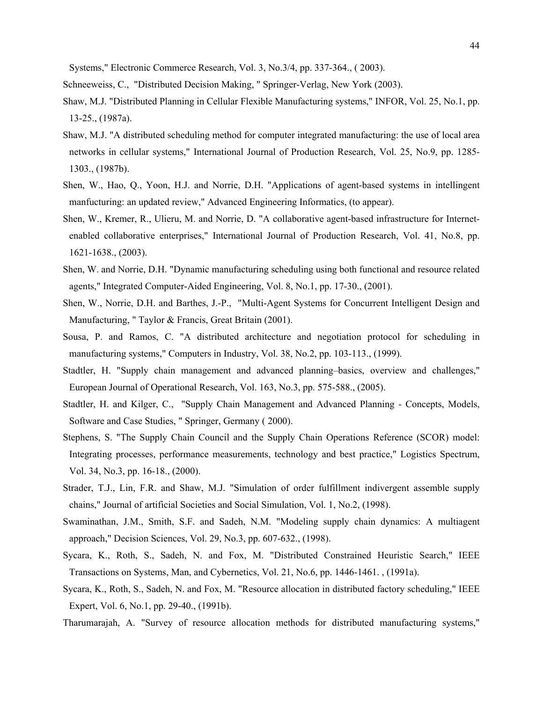Systems," Electronic Commerce Research, Vol. 3, No.3/4, pp. 337-364., ( 2003).

Schneeweiss, C., "Distributed Decision Making, " Springer-Verlag, New York (2003).

- Shaw, M.J. "Distributed Planning in Cellular Flexible Manufacturing systems," INFOR, Vol. 25, No.1, pp. 13-25., (1987a).
- Shaw, M.J. "A distributed scheduling method for computer integrated manufacturing: the use of local area networks in cellular systems," International Journal of Production Research, Vol. 25, No.9, pp. 1285- 1303., (1987b).
- Shen, W., Hao, Q., Yoon, H.J. and Norrie, D.H. "Applications of agent-based systems in intellingent manfucturing: an updated review," Advanced Engineering Informatics, (to appear).
- Shen, W., Kremer, R., Ulieru, M. and Norrie, D. "A collaborative agent-based infrastructure for Internetenabled collaborative enterprises," International Journal of Production Research, Vol. 41, No.8, pp. 1621-1638., (2003).
- Shen, W. and Norrie, D.H. "Dynamic manufacturing scheduling using both functional and resource related agents," Integrated Computer-Aided Engineering, Vol. 8, No.1, pp. 17-30., (2001).
- Shen, W., Norrie, D.H. and Barthes, J.-P., "Multi-Agent Systems for Concurrent Intelligent Design and Manufacturing, " Taylor & Francis, Great Britain (2001).
- Sousa, P. and Ramos, C. "A distributed architecture and negotiation protocol for scheduling in manufacturing systems," Computers in Industry, Vol. 38, No.2, pp. 103-113., (1999).
- Stadtler, H. "Supply chain management and advanced planning–basics, overview and challenges," European Journal of Operational Research, Vol. 163, No.3, pp. 575-588., (2005).
- Stadtler, H. and Kilger, C., "Supply Chain Management and Advanced Planning Concepts, Models, Software and Case Studies, " Springer, Germany ( 2000).
- Stephens, S. "The Supply Chain Council and the Supply Chain Operations Reference (SCOR) model: Integrating processes, performance measurements, technology and best practice," Logistics Spectrum, Vol. 34, No.3, pp. 16-18., (2000).
- Strader, T.J., Lin, F.R. and Shaw, M.J. "Simulation of order fulfillment indivergent assemble supply chains," Journal of artificial Societies and Social Simulation, Vol. 1, No.2, (1998).
- Swaminathan, J.M., Smith, S.F. and Sadeh, N.M. "Modeling supply chain dynamics: A multiagent approach," Decision Sciences, Vol. 29, No.3, pp. 607-632., (1998).
- Sycara, K., Roth, S., Sadeh, N. and Fox, M. "Distributed Constrained Heuristic Search," IEEE Transactions on Systems, Man, and Cybernetics, Vol. 21, No.6, pp. 1446-1461. , (1991a).
- Sycara, K., Roth, S., Sadeh, N. and Fox, M. "Resource allocation in distributed factory scheduling," IEEE Expert, Vol. 6, No.1, pp. 29-40., (1991b).
- Tharumarajah, A. "Survey of resource allocation methods for distributed manufacturing systems,"